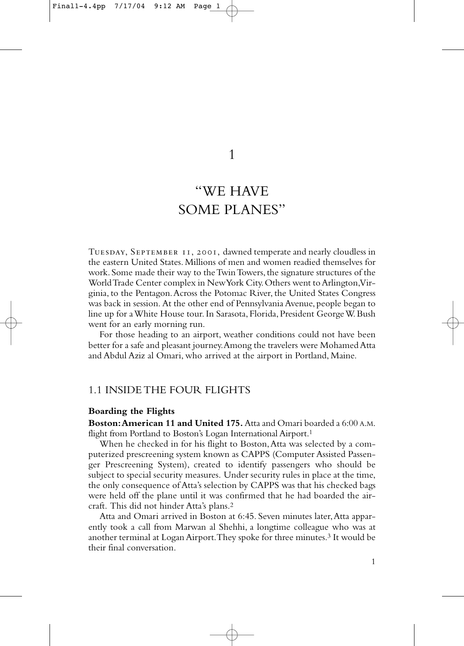1

# "WE HAVE SOME PLANES"

Tuesday, September 11, 2001, dawned temperate and nearly cloudless in the eastern United States. Millions of men and women readied themselves for work. Some made their way to the Twin Towers, the signature structures of the World Trade Center complex in New York City.Others went to Arlington,Virginia, to the Pentagon.Across the Potomac River, the United States Congress was back in session. At the other end of Pennsylvania Avenue, people began to line up for a White House tour. In Sarasota, Florida, President George W. Bush went for an early morning run.

For those heading to an airport, weather conditions could not have been better for a safe and pleasant journey.Among the travelers were Mohamed Atta and Abdul Aziz al Omari, who arrived at the airport in Portland, Maine.

## 1.1 INSIDE THE FOUR FLIGHTS

#### **Boarding the Flights**

**Boston:American 11 and United 175.**Atta and Omari boarded a 6:00 A.M. flight from Portland to Boston's Logan International Airport.<sup>1</sup>

When he checked in for his flight to Boston,Atta was selected by a computerized prescreening system known as CAPPS (Computer Assisted Passenger Prescreening System), created to identify passengers who should be subject to special security measures. Under security rules in place at the time, the only consequence of Atta's selection by CAPPS was that his checked bags were held off the plane until it was confirmed that he had boarded the aircraft. This did not hinder Atta's plans.2

Atta and Omari arrived in Boston at 6:45. Seven minutes later,Atta apparently took a call from Marwan al Shehhi, a longtime colleague who was at another terminal at Logan Airport.They spoke for three minutes.3 It would be their final conversation.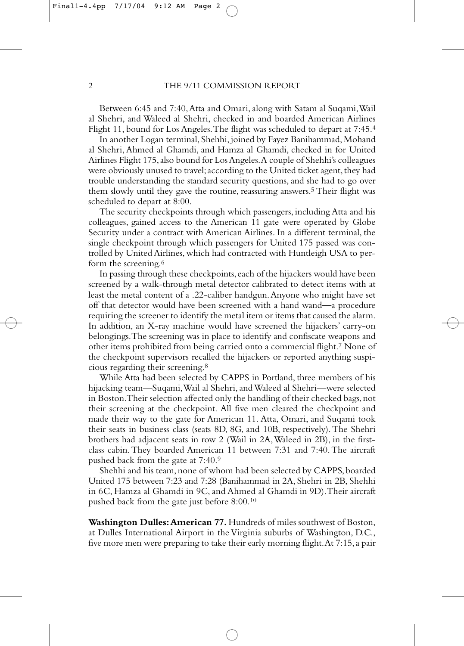Between 6:45 and 7:40,Atta and Omari, along with Satam al Suqami,Wail al Shehri, and Waleed al Shehri, checked in and boarded American Airlines Flight 11, bound for Los Angeles.The flight was scheduled to depart at 7:45.4

In another Logan terminal, Shehhi, joined by Fayez Banihammad, Mohand al Shehri, Ahmed al Ghamdi, and Hamza al Ghamdi, checked in for United Airlines Flight 175,also bound for Los Angeles.A couple of Shehhi's colleagues were obviously unused to travel; according to the United ticket agent, they had trouble understanding the standard security questions, and she had to go over them slowly until they gave the routine, reassuring answers.5 Their flight was scheduled to depart at 8:00.

The security checkpoints through which passengers, including Atta and his colleagues, gained access to the American 11 gate were operated by Globe Security under a contract with American Airlines. In a different terminal, the single checkpoint through which passengers for United 175 passed was controlled by United Airlines, which had contracted with Huntleigh USA to perform the screening.6

In passing through these checkpoints, each of the hijackers would have been screened by a walk-through metal detector calibrated to detect items with at least the metal content of a .22-caliber handgun.Anyone who might have set off that detector would have been screened with a hand wand—a procedure requiring the screener to identify the metal item or items that caused the alarm. In addition, an X-ray machine would have screened the hijackers' carry-on belongings.The screening was in place to identify and confiscate weapons and other items prohibited from being carried onto a commercial flight.7 None of the checkpoint supervisors recalled the hijackers or reported anything suspicious regarding their screening.8

While Atta had been selected by CAPPS in Portland, three members of his hijacking team—Suqami,Wail al Shehri, and Waleed al Shehri—were selected in Boston.Their selection affected only the handling of their checked bags,not their screening at the checkpoint. All five men cleared the checkpoint and made their way to the gate for American 11. Atta, Omari, and Suqami took their seats in business class (seats 8D, 8G, and 10B, respectively).The Shehri brothers had adjacent seats in row 2 (Wail in 2A,Waleed in 2B), in the firstclass cabin. They boarded American 11 between 7:31 and 7:40. The aircraft pushed back from the gate at 7:40.9

Shehhi and his team, none of whom had been selected by CAPPS, boarded United 175 between 7:23 and 7:28 (Banihammad in 2A, Shehri in 2B, Shehhi in 6C, Hamza al Ghamdi in 9C, and Ahmed al Ghamdi in 9D).Their aircraft pushed back from the gate just before 8:00.10

**Washington Dulles:American 77.** Hundreds of miles southwest of Boston, at Dulles International Airport in the Virginia suburbs of Washington, D.C., five more men were preparing to take their early morning flight.At 7:15,a pair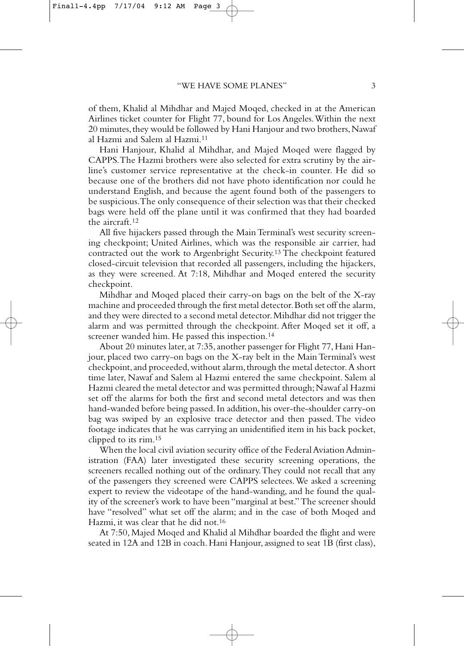of them, Khalid al Mihdhar and Majed Moqed, checked in at the American Airlines ticket counter for Flight 77, bound for Los Angeles.Within the next 20 minutes, they would be followed by Hani Hanjour and two brothers, Nawaf al Hazmi and Salem al Hazmi.11

Hani Hanjour, Khalid al Mihdhar, and Majed Moqed were flagged by CAPPS.The Hazmi brothers were also selected for extra scrutiny by the airline's customer service representative at the check-in counter. He did so because one of the brothers did not have photo identification nor could he understand English, and because the agent found both of the passengers to be suspicious.The only consequence of their selection was that their checked bags were held off the plane until it was confirmed that they had boarded the aircraft.12

All five hijackers passed through the Main Terminal's west security screening checkpoint; United Airlines, which was the responsible air carrier, had contracted out the work to Argenbright Security.13 The checkpoint featured closed-circuit television that recorded all passengers, including the hijackers, as they were screened. At 7:18, Mihdhar and Moqed entered the security checkpoint.

Mihdhar and Moqed placed their carry-on bags on the belt of the X-ray machine and proceeded through the first metal detector.Both set off the alarm, and they were directed to a second metal detector.Mihdhar did not trigger the alarm and was permitted through the checkpoint. After Moqed set it off, a screener wanded him. He passed this inspection.<sup>14</sup>

About 20 minutes later, at 7:35, another passenger for Flight 77, Hani Hanjour, placed two carry-on bags on the X-ray belt in the Main Terminal's west checkpoint,and proceeded,without alarm,through the metal detector.A short time later, Nawaf and Salem al Hazmi entered the same checkpoint. Salem al Hazmi cleared the metal detector and was permitted through; Nawaf al Hazmi set off the alarms for both the first and second metal detectors and was then hand-wanded before being passed. In addition, his over-the-shoulder carry-on bag was swiped by an explosive trace detector and then passed. The video footage indicates that he was carrying an unidentified item in his back pocket, clipped to its rim.15

When the local civil aviation security office of the Federal Aviation Administration (FAA) later investigated these security screening operations, the screeners recalled nothing out of the ordinary.They could not recall that any of the passengers they screened were CAPPS selectees.We asked a screening expert to review the videotape of the hand-wanding, and he found the quality of the screener's work to have been "marginal at best."The screener should have "resolved" what set off the alarm; and in the case of both Moqed and Hazmi, it was clear that he did not.16

At 7:50, Majed Moqed and Khalid al Mihdhar boarded the flight and were seated in 12A and 12B in coach. Hani Hanjour, assigned to seat 1B (first class),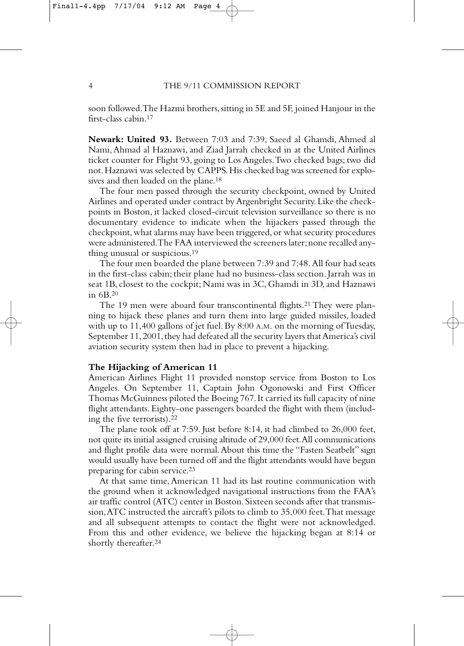soon followed. The Hazmi brothers, sitting in 5E and 5F, joined Hanjour in the first-class cabin.17

**Newark: United 93.** Between 7:03 and 7:39, Saeed al Ghamdi, Ahmed al Nami,Ahmad al Haznawi, and Ziad Jarrah checked in at the United Airlines ticket counter for Flight 93, going to Los Angeles.Two checked bags; two did not.Haznawi was selected by CAPPS.His checked bag was screened for explosives and then loaded on the plane.18

The four men passed through the security checkpoint, owned by United Airlines and operated under contract by Argenbright Security. Like the checkpoints in Boston, it lacked closed-circuit television surveillance so there is no documentary evidence to indicate when the hijackers passed through the checkpoint,what alarms may have been triggered,or what security procedures were administered. The FAA interviewed the screeners later; none recalled anything unusual or suspicious.19

The four men boarded the plane between 7:39 and 7:48. All four had seats in the first-class cabin; their plane had no business-class section. Jarrah was in seat 1B, closest to the cockpit; Nami was in 3C, Ghamdi in 3D, and Haznawi in 6B.20

The 19 men were aboard four transcontinental flights.<sup>21</sup> They were planning to hijack these planes and turn them into large guided missiles, loaded with up to 11,400 gallons of jet fuel. By 8:00 A.M. on the morning of Tuesday, September 11, 2001, they had defeated all the security layers that America's civil aviation security system then had in place to prevent a hijacking.

#### **The Hijacking of American 11**

American Airlines Flight 11 provided nonstop service from Boston to Los Angeles. On September 11, Captain John Ogonowski and First Officer Thomas McGuinness piloted the Boeing 767.It carried its full capacity of nine flight attendants. Eighty-one passengers boarded the flight with them (including the five terrorists).22

The plane took off at 7:59. Just before 8:14, it had climbed to 26,000 feet, not quite its initial assigned cruising altitude of 29,000 feet.All communications and flight profile data were normal.About this time the "Fasten Seatbelt" sign would usually have been turned off and the flight attendants would have begun preparing for cabin service.23

At that same time, American 11 had its last routine communication with the ground when it acknowledged navigational instructions from the FAA's air traffic control (ATC) center in Boston.Sixteen seconds after that transmission,ATC instructed the aircraft's pilots to climb to 35,000 feet.That message and all subsequent attempts to contact the flight were not acknowledged. From this and other evidence, we believe the hijacking began at 8:14 or shortly thereafter.24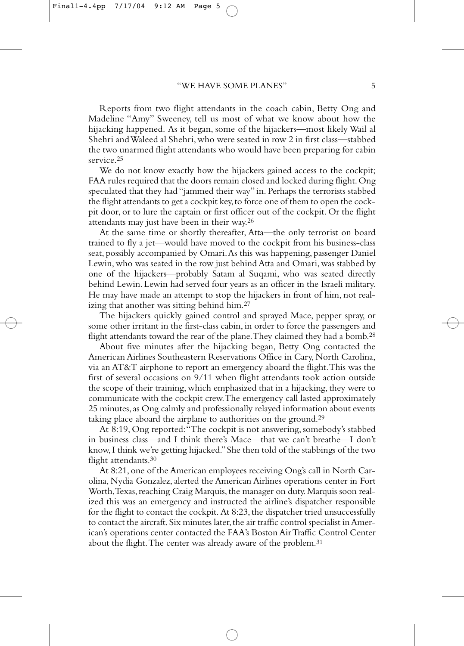Reports from two flight attendants in the coach cabin, Betty Ong and Madeline "Amy" Sweeney, tell us most of what we know about how the hijacking happened. As it began, some of the hijackers—most likely Wail al Shehri and Waleed al Shehri,who were seated in row 2 in first class—stabbed the two unarmed flight attendants who would have been preparing for cabin service.25

We do not know exactly how the hijackers gained access to the cockpit; FAA rules required that the doors remain closed and locked during flight. Ong speculated that they had "jammed their way" in. Perhaps the terrorists stabbed the flight attendants to get a cockpit key,to force one of them to open the cockpit door, or to lure the captain or first officer out of the cockpit. Or the flight attendants may just have been in their way.26

At the same time or shortly thereafter, Atta—the only terrorist on board trained to fly a jet—would have moved to the cockpit from his business-class seat, possibly accompanied by Omari.As this was happening, passenger Daniel Lewin, who was seated in the row just behind Atta and Omari, was stabbed by one of the hijackers—probably Satam al Suqami, who was seated directly behind Lewin. Lewin had served four years as an officer in the Israeli military. He may have made an attempt to stop the hijackers in front of him, not realizing that another was sitting behind him.27

The hijackers quickly gained control and sprayed Mace, pepper spray, or some other irritant in the first-class cabin, in order to force the passengers and flight attendants toward the rear of the plane. They claimed they had a bomb.<sup>28</sup>

About five minutes after the hijacking began, Betty Ong contacted the American Airlines Southeastern Reservations Office in Cary, North Carolina, via an AT&T airphone to report an emergency aboard the flight.This was the first of several occasions on 9/11 when flight attendants took action outside the scope of their training, which emphasized that in a hijacking, they were to communicate with the cockpit crew.The emergency call lasted approximately 25 minutes, as Ong calmly and professionally relayed information about events taking place aboard the airplane to authorities on the ground.29

At 8:19, Ong reported:"The cockpit is not answering, somebody's stabbed in business class—and I think there's Mace—that we can't breathe—I don't know,I think we're getting hijacked."She then told of the stabbings of the two flight attendants.30

At 8:21, one of the American employees receiving Ong's call in North Carolina, Nydia Gonzalez, alerted the American Airlines operations center in Fort Worth, Texas, reaching Craig Marquis, the manager on duty. Marquis soon realized this was an emergency and instructed the airline's dispatcher responsible for the flight to contact the cockpit. At 8:23, the dispatcher tried unsuccessfully to contact the aircraft. Six minutes later, the air traffic control specialist in American's operations center contacted the FAA's Boston Air Traffic Control Center about the flight. The center was already aware of the problem.<sup>31</sup>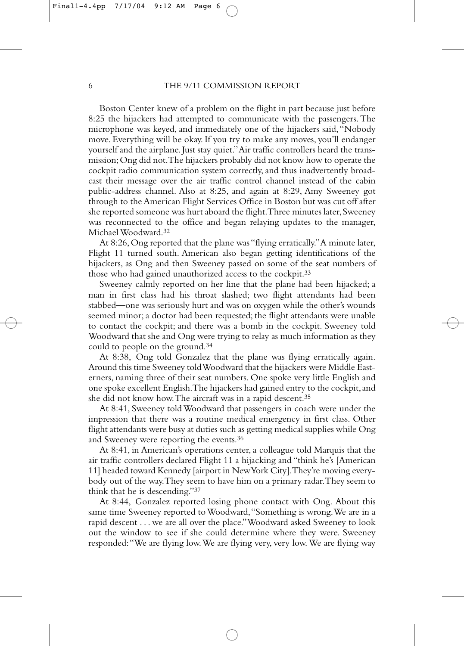Boston Center knew of a problem on the flight in part because just before 8:25 the hijackers had attempted to communicate with the passengers. The microphone was keyed, and immediately one of the hijackers said,"Nobody move. Everything will be okay. If you try to make any moves, you'll endanger yourself and the airplane. Just stay quiet." Air traffic controllers heard the transmission;Ong did not.The hijackers probably did not know how to operate the cockpit radio communication system correctly, and thus inadvertently broadcast their message over the air traffic control channel instead of the cabin public-address channel. Also at 8:25, and again at 8:29, Amy Sweeney got through to the American Flight Services Office in Boston but was cut off after she reported someone was hurt aboard the flight. Three minutes later, Sweeney was reconnected to the office and began relaying updates to the manager, Michael Woodward.32

At 8:26,Ong reported that the plane was "flying erratically."A minute later, Flight 11 turned south. American also began getting identifications of the hijackers, as Ong and then Sweeney passed on some of the seat numbers of those who had gained unauthorized access to the cockpit.33

Sweeney calmly reported on her line that the plane had been hijacked; a man in first class had his throat slashed; two flight attendants had been stabbed—one was seriously hurt and was on oxygen while the other's wounds seemed minor; a doctor had been requested; the flight attendants were unable to contact the cockpit; and there was a bomb in the cockpit. Sweeney told Woodward that she and Ong were trying to relay as much information as they could to people on the ground.34

At 8:38, Ong told Gonzalez that the plane was flying erratically again. Around this time Sweeney told Woodward that the hijackers were Middle Easterners, naming three of their seat numbers. One spoke very little English and one spoke excellent English.The hijackers had gained entry to the cockpit,and she did not know how.The aircraft was in a rapid descent.35

At 8:41, Sweeney told Woodward that passengers in coach were under the impression that there was a routine medical emergency in first class. Other flight attendants were busy at duties such as getting medical supplies while Ong and Sweeney were reporting the events.36

At 8:41, in American's operations center, a colleague told Marquis that the air traffic controllers declared Flight 11 a hijacking and "think he's [American 11] headed toward Kennedy [airport in New York City].They're moving everybody out of the way.They seem to have him on a primary radar.They seem to think that he is descending."37

At 8:44, Gonzalez reported losing phone contact with Ong. About this same time Sweeney reported to Woodward,"Something is wrong.We are in a rapid descent . . . we are all over the place."Woodward asked Sweeney to look out the window to see if she could determine where they were. Sweeney responded:"We are flying low.We are flying very, very low. We are flying way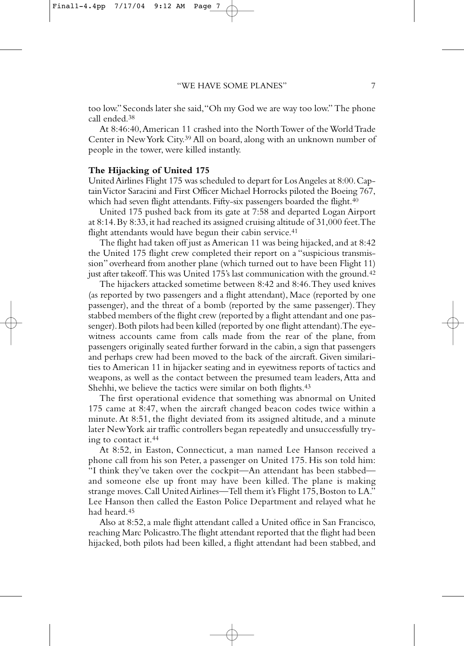too low."Seconds later she said,"Oh my God we are way too low." The phone call ended.38

At 8:46:40,American 11 crashed into the North Tower of the World Trade Center in New York City.39 All on board, along with an unknown number of people in the tower, were killed instantly.

#### **The Hijacking of United 175**

United Airlines Flight 175 was scheduled to depart for Los Angeles at 8:00.Captain Victor Saracini and First Officer Michael Horrocks piloted the Boeing 767, which had seven flight attendants. Fifty-six passengers boarded the flight.<sup>40</sup>

United 175 pushed back from its gate at 7:58 and departed Logan Airport at 8:14.By 8:33,it had reached its assigned cruising altitude of 31,000 feet.The flight attendants would have begun their cabin service.<sup>41</sup>

The flight had taken off just as American 11 was being hijacked, and at 8:42 the United 175 flight crew completed their report on a "suspicious transmission" overheard from another plane (which turned out to have been Flight 11) just after takeoff. This was United 175's last communication with the ground.<sup>42</sup>

The hijackers attacked sometime between 8:42 and 8:46.They used knives (as reported by two passengers and a flight attendant), Mace (reported by one passenger), and the threat of a bomb (reported by the same passenger).They stabbed members of the flight crew (reported by a flight attendant and one passenger).Both pilots had been killed (reported by one flight attendant).The eyewitness accounts came from calls made from the rear of the plane, from passengers originally seated further forward in the cabin, a sign that passengers and perhaps crew had been moved to the back of the aircraft. Given similarities to American 11 in hijacker seating and in eyewitness reports of tactics and weapons, as well as the contact between the presumed team leaders,Atta and Shehhi, we believe the tactics were similar on both flights.<sup>43</sup>

The first operational evidence that something was abnormal on United 175 came at 8:47, when the aircraft changed beacon codes twice within a minute. At 8:51, the flight deviated from its assigned altitude, and a minute later New York air traffic controllers began repeatedly and unsuccessfully trying to contact it.44

At 8:52, in Easton, Connecticut, a man named Lee Hanson received a phone call from his son Peter, a passenger on United 175. His son told him: "I think they've taken over the cockpit—An attendant has been stabbed and someone else up front may have been killed. The plane is making strange moves. Call United Airlines—Tell them it's Flight 175, Boston to LA." Lee Hanson then called the Easton Police Department and relayed what he had heard.45

Also at 8:52, a male flight attendant called a United office in San Francisco, reaching Marc Policastro.The flight attendant reported that the flight had been hijacked, both pilots had been killed, a flight attendant had been stabbed, and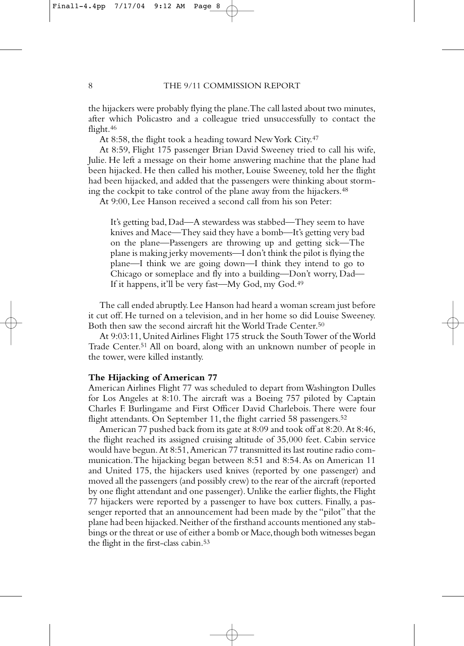the hijackers were probably flying the plane.The call lasted about two minutes, after which Policastro and a colleague tried unsuccessfully to contact the flight.46

At 8:58, the flight took a heading toward New York City.47

At 8:59, Flight 175 passenger Brian David Sweeney tried to call his wife, Julie. He left a message on their home answering machine that the plane had been hijacked. He then called his mother, Louise Sweeney, told her the flight had been hijacked, and added that the passengers were thinking about storming the cockpit to take control of the plane away from the hijackers.48

At 9:00, Lee Hanson received a second call from his son Peter:

It's getting bad, Dad—A stewardess was stabbed—They seem to have knives and Mace—They said they have a bomb—It's getting very bad on the plane—Passengers are throwing up and getting sick—The plane is making jerky movements—I don't think the pilot is flying the plane—I think we are going down—I think they intend to go to Chicago or someplace and fly into a building—Don't worry, Dad— If it happens, it'll be very fast—My God, my God.49

The call ended abruptly.Lee Hanson had heard a woman scream just before it cut off. He turned on a television, and in her home so did Louise Sweeney. Both then saw the second aircraft hit the World Trade Center.50

At 9:03:11, United Airlines Flight 175 struck the South Tower of the World Trade Center.51 All on board, along with an unknown number of people in the tower, were killed instantly.

#### **The Hijacking of American 77**

American Airlines Flight 77 was scheduled to depart from Washington Dulles for Los Angeles at 8:10. The aircraft was a Boeing 757 piloted by Captain Charles F. Burlingame and First Officer David Charlebois. There were four flight attendants. On September 11, the flight carried 58 passengers.<sup>52</sup>

American 77 pushed back from its gate at 8:09 and took off at 8:20.At 8:46, the flight reached its assigned cruising altitude of 35,000 feet. Cabin service would have begun.At 8:51,American 77 transmitted its last routine radio communication.The hijacking began between 8:51 and 8:54.As on American 11 and United 175, the hijackers used knives (reported by one passenger) and moved all the passengers (and possibly crew) to the rear of the aircraft (reported by one flight attendant and one passenger). Unlike the earlier flights, the Flight 77 hijackers were reported by a passenger to have box cutters. Finally, a passenger reported that an announcement had been made by the "pilot" that the plane had been hijacked. Neither of the firsthand accounts mentioned any stabbings or the threat or use of either a bomb or Mace, though both witnesses began the flight in the first-class cabin.53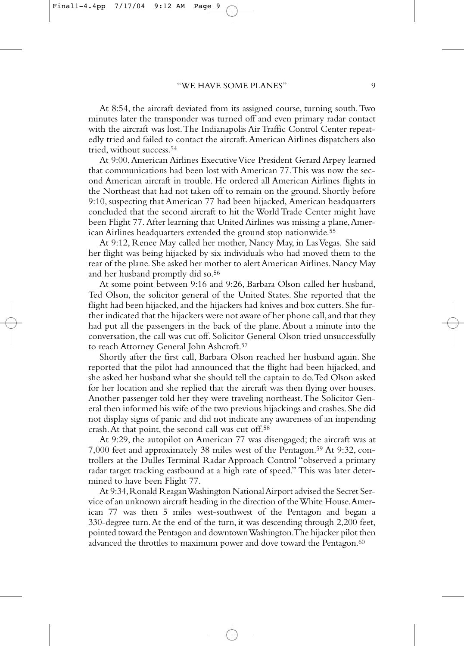At 8:54, the aircraft deviated from its assigned course, turning south.Two minutes later the transponder was turned off and even primary radar contact with the aircraft was lost.The Indianapolis Air Traffic Control Center repeatedly tried and failed to contact the aircraft.American Airlines dispatchers also tried, without success.54

At 9:00,American Airlines Executive Vice President Gerard Arpey learned that communications had been lost with American 77.This was now the second American aircraft in trouble. He ordered all American Airlines flights in the Northeast that had not taken off to remain on the ground. Shortly before 9:10, suspecting that American 77 had been hijacked, American headquarters concluded that the second aircraft to hit the World Trade Center might have been Flight 77. After learning that United Airlines was missing a plane,American Airlines headquarters extended the ground stop nationwide.55

At 9:12, Renee May called her mother, Nancy May, in Las Vegas. She said her flight was being hijacked by six individuals who had moved them to the rear of the plane. She asked her mother to alert American Airlines. Nancy May and her husband promptly did so.56

At some point between 9:16 and 9:26, Barbara Olson called her husband, Ted Olson, the solicitor general of the United States. She reported that the flight had been hijacked, and the hijackers had knives and box cutters. She further indicated that the hijackers were not aware of her phone call,and that they had put all the passengers in the back of the plane. About a minute into the conversation, the call was cut off. Solicitor General Olson tried unsuccessfully to reach Attorney General John Ashcroft.57

Shortly after the first call, Barbara Olson reached her husband again. She reported that the pilot had announced that the flight had been hijacked, and she asked her husband what she should tell the captain to do.Ted Olson asked for her location and she replied that the aircraft was then flying over houses. Another passenger told her they were traveling northeast.The Solicitor General then informed his wife of the two previous hijackings and crashes.She did not display signs of panic and did not indicate any awareness of an impending crash.At that point, the second call was cut off.58

At 9:29, the autopilot on American 77 was disengaged; the aircraft was at 7,000 feet and approximately 38 miles west of the Pentagon.59 At 9:32, controllers at the Dulles Terminal Radar Approach Control "observed a primary radar target tracking eastbound at a high rate of speed." This was later determined to have been Flight 77.

At 9:34,Ronald Reagan Washington National Airport advised the Secret Service of an unknown aircraft heading in the direction of the White House.American 77 was then 5 miles west-southwest of the Pentagon and began a 330-degree turn.At the end of the turn, it was descending through 2,200 feet, pointed toward the Pentagon and downtown Washington.The hijacker pilot then advanced the throttles to maximum power and dove toward the Pentagon.<sup>60</sup>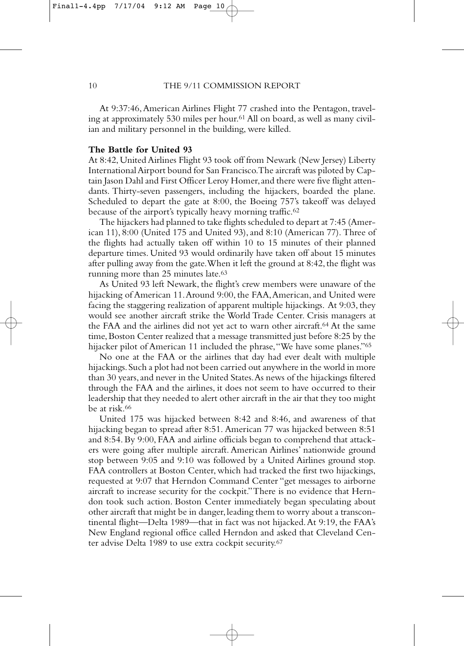At 9:37:46,American Airlines Flight 77 crashed into the Pentagon, traveling at approximately 530 miles per hour.61 All on board, as well as many civilian and military personnel in the building, were killed.

#### **The Battle for United 93**

At 8:42, United Airlines Flight 93 took off from Newark (New Jersey) Liberty International Airport bound for San Francisco.The aircraft was piloted by Captain Jason Dahl and First Officer Leroy Homer,and there were five flight attendants. Thirty-seven passengers, including the hijackers, boarded the plane. Scheduled to depart the gate at 8:00, the Boeing 757's takeoff was delayed because of the airport's typically heavy morning traffic.62

The hijackers had planned to take flights scheduled to depart at 7:45 (American 11), 8:00 (United 175 and United 93), and 8:10 (American 77). Three of the flights had actually taken off within 10 to 15 minutes of their planned departure times. United 93 would ordinarily have taken off about 15 minutes after pulling away from the gate.When it left the ground at 8:42, the flight was running more than 25 minutes late.63

As United 93 left Newark, the flight's crew members were unaware of the hijacking of American 11.Around 9:00, the FAA,American, and United were facing the staggering realization of apparent multiple hijackings. At 9:03, they would see another aircraft strike the World Trade Center. Crisis managers at the FAA and the airlines did not yet act to warn other aircraft.64 At the same time, Boston Center realized that a message transmitted just before 8:25 by the hijacker pilot of American 11 included the phrase, "We have some planes."<sup>65</sup>

No one at the FAA or the airlines that day had ever dealt with multiple hijackings.Such a plot had not been carried out anywhere in the world in more than 30 years,and never in the United States.As news of the hijackings filtered through the FAA and the airlines, it does not seem to have occurred to their leadership that they needed to alert other aircraft in the air that they too might be at risk.66

United 175 was hijacked between 8:42 and 8:46, and awareness of that hijacking began to spread after 8:51. American 77 was hijacked between 8:51 and 8:54. By 9:00, FAA and airline officials began to comprehend that attackers were going after multiple aircraft. American Airlines' nationwide ground stop between 9:05 and 9:10 was followed by a United Airlines ground stop. FAA controllers at Boston Center, which had tracked the first two hijackings, requested at 9:07 that Herndon Command Center "get messages to airborne aircraft to increase security for the cockpit."There is no evidence that Herndon took such action. Boston Center immediately began speculating about other aircraft that might be in danger,leading them to worry about a transcontinental flight—Delta 1989—that in fact was not hijacked.At 9:19, the FAA's New England regional office called Herndon and asked that Cleveland Center advise Delta 1989 to use extra cockpit security.<sup>67</sup>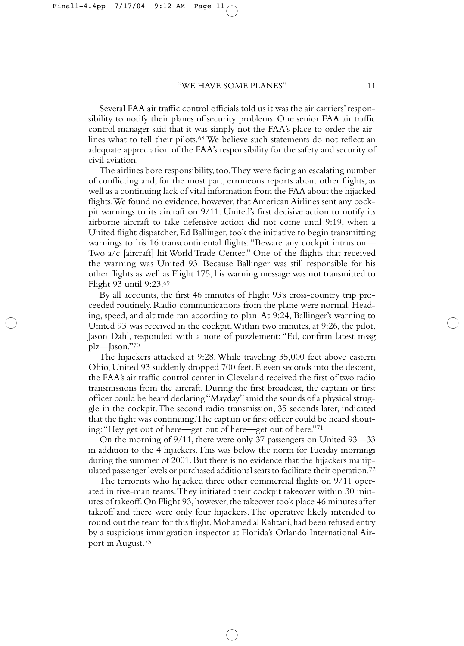Several FAA air traffic control officials told us it was the air carriers'responsibility to notify their planes of security problems. One senior FAA air traffic control manager said that it was simply not the FAA's place to order the airlines what to tell their pilots.68 We believe such statements do not reflect an adequate appreciation of the FAA's responsibility for the safety and security of civil aviation.

The airlines bore responsibility, too.They were facing an escalating number of conflicting and, for the most part, erroneous reports about other flights, as well as a continuing lack of vital information from the FAA about the hijacked flights.We found no evidence, however, that American Airlines sent any cockpit warnings to its aircraft on 9/11. United's first decisive action to notify its airborne aircraft to take defensive action did not come until 9:19, when a United flight dispatcher, Ed Ballinger, took the initiative to begin transmitting warnings to his 16 transcontinental flights: "Beware any cockpit intrusion— Two a/c [aircraft] hit World Trade Center." One of the flights that received the warning was United 93. Because Ballinger was still responsible for his other flights as well as Flight 175, his warning message was not transmitted to Flight 93 until 9:23.69

By all accounts, the first 46 minutes of Flight 93's cross-country trip proceeded routinely. Radio communications from the plane were normal. Heading, speed, and altitude ran according to plan.At 9:24, Ballinger's warning to United 93 was received in the cockpit.Within two minutes, at 9:26, the pilot, Jason Dahl, responded with a note of puzzlement: "Ed, confirm latest mssg plz—Jason."70

The hijackers attacked at 9:28.While traveling 35,000 feet above eastern Ohio, United 93 suddenly dropped 700 feet. Eleven seconds into the descent, the FAA's air traffic control center in Cleveland received the first of two radio transmissions from the aircraft. During the first broadcast, the captain or first officer could be heard declaring "Mayday"amid the sounds of a physical struggle in the cockpit.The second radio transmission, 35 seconds later, indicated that the fight was continuing.The captain or first officer could be heard shouting:"Hey get out of here—get out of here—get out of here."71

On the morning of 9/11, there were only 37 passengers on United 93—33 in addition to the 4 hijackers.This was below the norm for Tuesday mornings during the summer of 2001. But there is no evidence that the hijackers manipulated passenger levels or purchased additional seats to facilitate their operation.72

The terrorists who hijacked three other commercial flights on 9/11 operated in five-man teams.They initiated their cockpit takeover within 30 minutes of takeoff.On Flight 93,however,the takeover took place 46 minutes after takeoff and there were only four hijackers.The operative likely intended to round out the team for this flight, Mohamed al Kahtani, had been refused entry by a suspicious immigration inspector at Florida's Orlando International Airport in August.73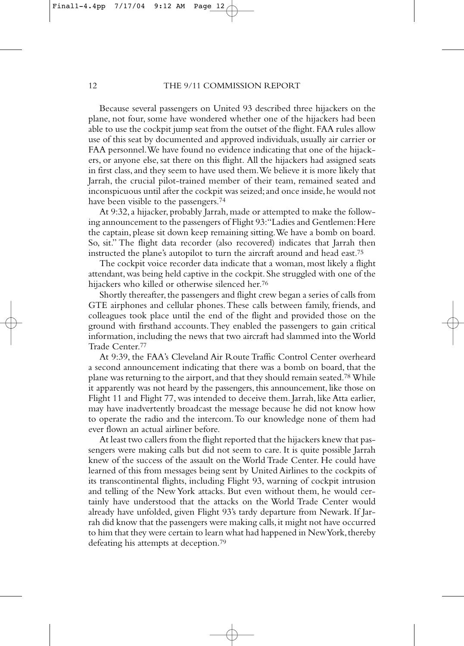Because several passengers on United 93 described three hijackers on the plane, not four, some have wondered whether one of the hijackers had been able to use the cockpit jump seat from the outset of the flight. FAA rules allow use of this seat by documented and approved individuals, usually air carrier or FAA personnel.We have found no evidence indicating that one of the hijackers, or anyone else, sat there on this flight. All the hijackers had assigned seats in first class, and they seem to have used them.We believe it is more likely that Jarrah, the crucial pilot-trained member of their team, remained seated and inconspicuous until after the cockpit was seized; and once inside, he would not have been visible to the passengers.<sup>74</sup>

At 9:32, a hijacker, probably Jarrah, made or attempted to make the following announcement to the passengers of Flight 93: "Ladies and Gentlemen: Here the captain, please sit down keep remaining sitting.We have a bomb on board. So, sit." The flight data recorder (also recovered) indicates that Jarrah then instructed the plane's autopilot to turn the aircraft around and head east.75

The cockpit voice recorder data indicate that a woman, most likely a flight attendant, was being held captive in the cockpit. She struggled with one of the hijackers who killed or otherwise silenced her.76

Shortly thereafter, the passengers and flight crew began a series of calls from GTE airphones and cellular phones.These calls between family, friends, and colleagues took place until the end of the flight and provided those on the ground with firsthand accounts.They enabled the passengers to gain critical information, including the news that two aircraft had slammed into the World Trade Center.77

At 9:39, the FAA's Cleveland Air Route Traffic Control Center overheard a second announcement indicating that there was a bomb on board, that the plane was returning to the airport, and that they should remain seated.<sup>78</sup> While it apparently was not heard by the passengers, this announcement, like those on Flight 11 and Flight 77, was intended to deceive them. Jarrah, like Atta earlier, may have inadvertently broadcast the message because he did not know how to operate the radio and the intercom.To our knowledge none of them had ever flown an actual airliner before.

At least two callers from the flight reported that the hijackers knew that passengers were making calls but did not seem to care. It is quite possible Jarrah knew of the success of the assault on the World Trade Center. He could have learned of this from messages being sent by United Airlines to the cockpits of its transcontinental flights, including Flight 93, warning of cockpit intrusion and telling of the New York attacks. But even without them, he would certainly have understood that the attacks on the World Trade Center would already have unfolded, given Flight 93's tardy departure from Newark. If Jarrah did know that the passengers were making calls, it might not have occurred to him that they were certain to learn what had happened in New York, thereby defeating his attempts at deception.79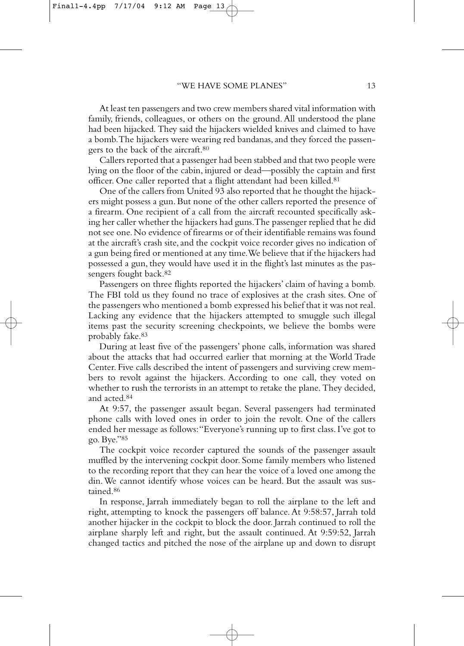At least ten passengers and two crew members shared vital information with family, friends, colleagues, or others on the ground. All understood the plane had been hijacked. They said the hijackers wielded knives and claimed to have a bomb.The hijackers were wearing red bandanas, and they forced the passengers to the back of the aircraft.80

Callers reported that a passenger had been stabbed and that two people were lying on the floor of the cabin, injured or dead—possibly the captain and first officer. One caller reported that a flight attendant had been killed.<sup>81</sup>

One of the callers from United 93 also reported that he thought the hijackers might possess a gun. But none of the other callers reported the presence of a firearm. One recipient of a call from the aircraft recounted specifically asking her caller whether the hijackers had guns.The passenger replied that he did not see one.No evidence of firearms or of their identifiable remains was found at the aircraft's crash site, and the cockpit voice recorder gives no indication of a gun being fired or mentioned at any time.We believe that if the hijackers had possessed a gun, they would have used it in the flight's last minutes as the passengers fought back.82

Passengers on three flights reported the hijackers' claim of having a bomb. The FBI told us they found no trace of explosives at the crash sites. One of the passengers who mentioned a bomb expressed his belief that it was not real. Lacking any evidence that the hijackers attempted to smuggle such illegal items past the security screening checkpoints, we believe the bombs were probably fake.83

During at least five of the passengers' phone calls, information was shared about the attacks that had occurred earlier that morning at the World Trade Center. Five calls described the intent of passengers and surviving crew members to revolt against the hijackers. According to one call, they voted on whether to rush the terrorists in an attempt to retake the plane. They decided, and acted.84

At 9:57, the passenger assault began. Several passengers had terminated phone calls with loved ones in order to join the revolt. One of the callers ended her message as follows:"Everyone's running up to first class. I've got to go. Bye."85

The cockpit voice recorder captured the sounds of the passenger assault muffled by the intervening cockpit door. Some family members who listened to the recording report that they can hear the voice of a loved one among the din.We cannot identify whose voices can be heard. But the assault was sustained.86

In response, Jarrah immediately began to roll the airplane to the left and right, attempting to knock the passengers off balance. At 9:58:57, Jarrah told another hijacker in the cockpit to block the door. Jarrah continued to roll the airplane sharply left and right, but the assault continued. At 9:59:52, Jarrah changed tactics and pitched the nose of the airplane up and down to disrupt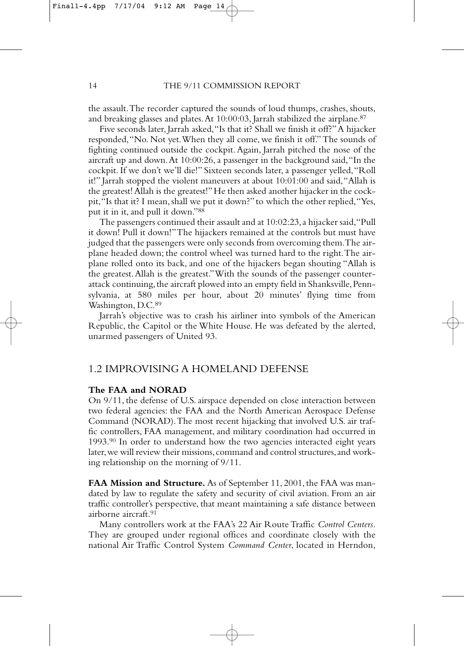the assault.The recorder captured the sounds of loud thumps, crashes, shouts, and breaking glasses and plates.At 10:00:03, Jarrah stabilized the airplane.87

Five seconds later, Jarrah asked, "Is that it? Shall we finish it off?" A hijacker responded,"No. Not yet.When they all come, we finish it off." The sounds of fighting continued outside the cockpit. Again, Jarrah pitched the nose of the aircraft up and down.At 10:00:26, a passenger in the background said,"In the cockpit. If we don't we'll die!" Sixteen seconds later, a passenger yelled,"Roll it!" Jarrah stopped the violent maneuvers at about 10:01:00 and said,"Allah is the greatest! Allah is the greatest!"He then asked another hijacker in the cockpit,"Is that it? I mean, shall we put it down?" to which the other replied,"Yes, put it in it, and pull it down."88

The passengers continued their assault and at 10:02:23, a hijacker said, "Pull it down! Pull it down!"The hijackers remained at the controls but must have judged that the passengers were only seconds from overcoming them.The airplane headed down; the control wheel was turned hard to the right.The airplane rolled onto its back, and one of the hijackers began shouting "Allah is the greatest.Allah is the greatest."With the sounds of the passenger counterattack continuing, the aircraft plowed into an empty field in Shanksville, Pennsylvania, at 580 miles per hour, about 20 minutes' flying time from Washington, D.C.89

Jarrah's objective was to crash his airliner into symbols of the American Republic, the Capitol or the White House. He was defeated by the alerted, unarmed passengers of United 93.

## 1.2 IMPROVISING A HOMELAND DEFENSE

#### **The FAA and NORAD**

On 9/11, the defense of U.S. airspace depended on close interaction between two federal agencies: the FAA and the North American Aerospace Defense Command (NORAD).The most recent hijacking that involved U.S. air traffic controllers, FAA management, and military coordination had occurred in 1993.90 In order to understand how the two agencies interacted eight years later, we will review their missions, command and control structures, and working relationship on the morning of 9/11.

**FAA Mission and Structure.** As of September 11, 2001, the FAA was mandated by law to regulate the safety and security of civil aviation. From an air traffic controller's perspective, that meant maintaining a safe distance between airborne aircraft.91

Many controllers work at the FAA's 22 Air Route Traffic *Control Centers*. They are grouped under regional offices and coordinate closely with the national Air Traffic Control System *Command Center*, located in Herndon,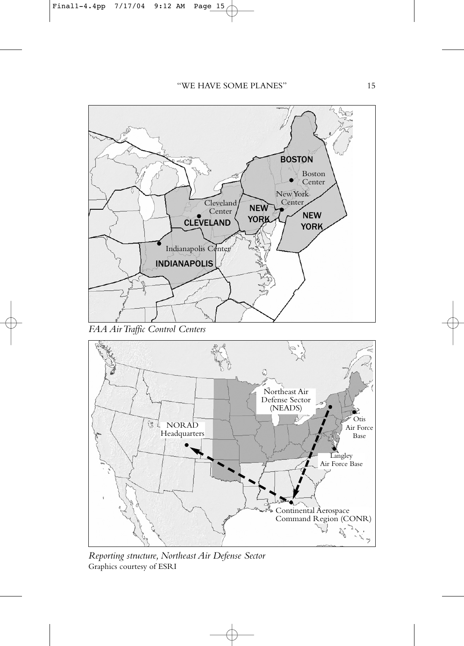

*FAA Air Traffic Control Centers*



*Reporting structure, Northeast Air Defense Sector* Graphics courtesy of ESRI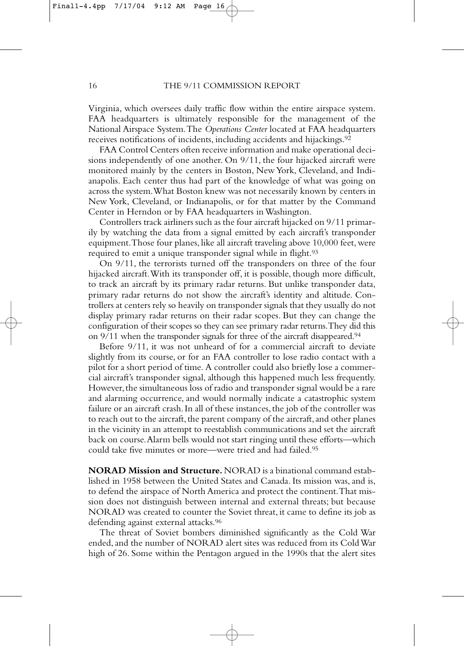Virginia, which oversees daily traffic flow within the entire airspace system. FAA headquarters is ultimately responsible for the management of the National Airspace System.The *Operations Center* located at FAA headquarters receives notifications of incidents, including accidents and hijackings.<sup>92</sup>

FAA Control Centers often receive information and make operational decisions independently of one another. On 9/11, the four hijacked aircraft were monitored mainly by the centers in Boston, New York, Cleveland, and Indianapolis. Each center thus had part of the knowledge of what was going on across the system.What Boston knew was not necessarily known by centers in New York, Cleveland, or Indianapolis, or for that matter by the Command Center in Herndon or by FAA headquarters in Washington.

Controllers track airliners such as the four aircraft hijacked on 9/11 primarily by watching the data from a signal emitted by each aircraft's transponder equipment.Those four planes, like all aircraft traveling above 10,000 feet, were required to emit a unique transponder signal while in flight.<sup>93</sup>

On 9/11, the terrorists turned off the transponders on three of the four hijacked aircraft.With its transponder off, it is possible, though more difficult, to track an aircraft by its primary radar returns. But unlike transponder data, primary radar returns do not show the aircraft's identity and altitude. Controllers at centers rely so heavily on transponder signals that they usually do not display primary radar returns on their radar scopes. But they can change the configuration of their scopes so they can see primary radar returns.They did this on 9/11 when the transponder signals for three of the aircraft disappeared.<sup>94</sup>

Before 9/11, it was not unheard of for a commercial aircraft to deviate slightly from its course, or for an FAA controller to lose radio contact with a pilot for a short period of time. A controller could also briefly lose a commercial aircraft's transponder signal, although this happened much less frequently. However, the simultaneous loss of radio and transponder signal would be a rare and alarming occurrence, and would normally indicate a catastrophic system failure or an aircraft crash. In all of these instances, the job of the controller was to reach out to the aircraft, the parent company of the aircraft, and other planes in the vicinity in an attempt to reestablish communications and set the aircraft back on course.Alarm bells would not start ringing until these efforts—which could take five minutes or more—were tried and had failed.95

**NORAD Mission and Structure.** NORAD is a binational command established in 1958 between the United States and Canada. Its mission was, and is, to defend the airspace of North America and protect the continent.That mission does not distinguish between internal and external threats; but because NORAD was created to counter the Soviet threat, it came to define its job as defending against external attacks.<sup>96</sup>

The threat of Soviet bombers diminished significantly as the Cold War ended, and the number of NORAD alert sites was reduced from its Cold War high of 26. Some within the Pentagon argued in the 1990s that the alert sites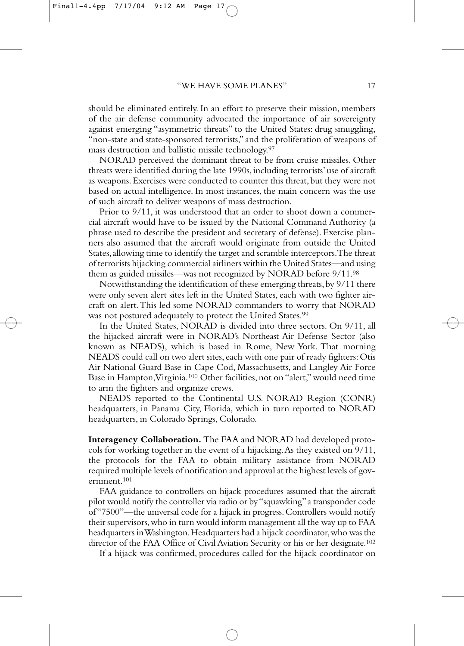should be eliminated entirely. In an effort to preserve their mission, members of the air defense community advocated the importance of air sovereignty against emerging "asymmetric threats" to the United States: drug smuggling, "non-state and state-sponsored terrorists," and the proliferation of weapons of mass destruction and ballistic missile technology.97

NORAD perceived the dominant threat to be from cruise missiles. Other threats were identified during the late 1990s, including terrorists' use of aircraft as weapons. Exercises were conducted to counter this threat, but they were not based on actual intelligence. In most instances, the main concern was the use of such aircraft to deliver weapons of mass destruction.

Prior to 9/11, it was understood that an order to shoot down a commercial aircraft would have to be issued by the National Command Authority (a phrase used to describe the president and secretary of defense). Exercise planners also assumed that the aircraft would originate from outside the United States, allowing time to identify the target and scramble interceptors. The threat of terrorists hijacking commercial airliners within the United States—and using them as guided missiles—was not recognized by NORAD before 9/11.98

Notwithstanding the identification of these emerging threats, by 9/11 there were only seven alert sites left in the United States, each with two fighter aircraft on alert.This led some NORAD commanders to worry that NORAD was not postured adequately to protect the United States.<sup>99</sup>

In the United States, NORAD is divided into three sectors. On 9/11, all the hijacked aircraft were in NORAD's Northeast Air Defense Sector (also known as NEADS), which is based in Rome, New York. That morning NEADS could call on two alert sites, each with one pair of ready fighters: Otis Air National Guard Base in Cape Cod, Massachusetts, and Langley Air Force Base in Hampton,Virginia.100 Other facilities, not on "alert," would need time to arm the fighters and organize crews.

NEADS reported to the Continental U.S. NORAD Region (CONR) headquarters, in Panama City, Florida, which in turn reported to NORAD headquarters, in Colorado Springs, Colorado.

**Interagency Collaboration.** The FAA and NORAD had developed protocols for working together in the event of a hijacking.As they existed on 9/11, the protocols for the FAA to obtain military assistance from NORAD required multiple levels of notification and approval at the highest levels of government.101

FAA guidance to controllers on hijack procedures assumed that the aircraft pilot would notify the controller via radio or by "squawking"a transponder code of "7500"—the universal code for a hijack in progress.Controllers would notify their supervisors,who in turn would inform management all the way up to FAA headquarters in Washington.Headquarters had a hijack coordinator,who was the director of the FAA Office of Civil Aviation Security or his or her designate.<sup>102</sup>

If a hijack was confirmed, procedures called for the hijack coordinator on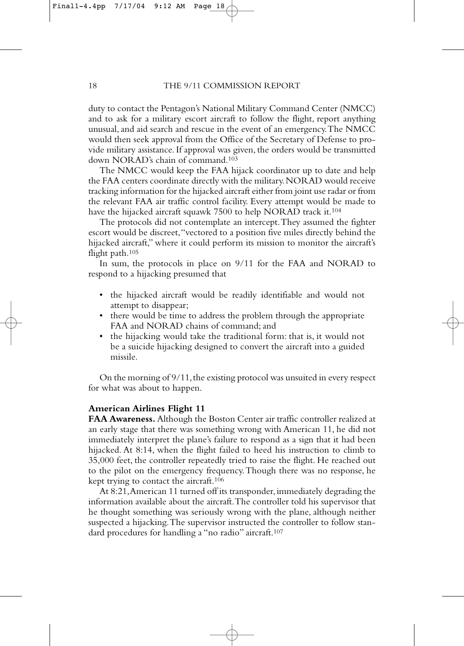duty to contact the Pentagon's National Military Command Center (NMCC) and to ask for a military escort aircraft to follow the flight, report anything unusual, and aid search and rescue in the event of an emergency.The NMCC would then seek approval from the Office of the Secretary of Defense to provide military assistance. If approval was given, the orders would be transmitted down NORAD's chain of command.103

The NMCC would keep the FAA hijack coordinator up to date and help the FAA centers coordinate directly with the military.NORAD would receive tracking information for the hijacked aircraft either from joint use radar or from the relevant FAA air traffic control facility. Every attempt would be made to have the hijacked aircraft squawk 7500 to help NORAD track it.<sup>104</sup>

The protocols did not contemplate an intercept.They assumed the fighter escort would be discreet,"vectored to a position five miles directly behind the hijacked aircraft," where it could perform its mission to monitor the aircraft's flight path.105

In sum, the protocols in place on 9/11 for the FAA and NORAD to respond to a hijacking presumed that

- the hijacked aircraft would be readily identifiable and would not attempt to disappear;
- there would be time to address the problem through the appropriate FAA and NORAD chains of command; and
- the hijacking would take the traditional form: that is, it would not be a suicide hijacking designed to convert the aircraft into a guided missile.

On the morning of  $9/11$ , the existing protocol was unsuited in every respect for what was about to happen.

#### **American Airlines Flight 11**

**FAA Awareness.** Although the Boston Center air traffic controller realized at an early stage that there was something wrong with American 11, he did not immediately interpret the plane's failure to respond as a sign that it had been hijacked. At 8:14, when the flight failed to heed his instruction to climb to 35,000 feet, the controller repeatedly tried to raise the flight. He reached out to the pilot on the emergency frequency.Though there was no response, he kept trying to contact the aircraft.106

At 8:21,American 11 turned off its transponder,immediately degrading the information available about the aircraft.The controller told his supervisor that he thought something was seriously wrong with the plane, although neither suspected a hijacking.The supervisor instructed the controller to follow standard procedures for handling a "no radio" aircraft.107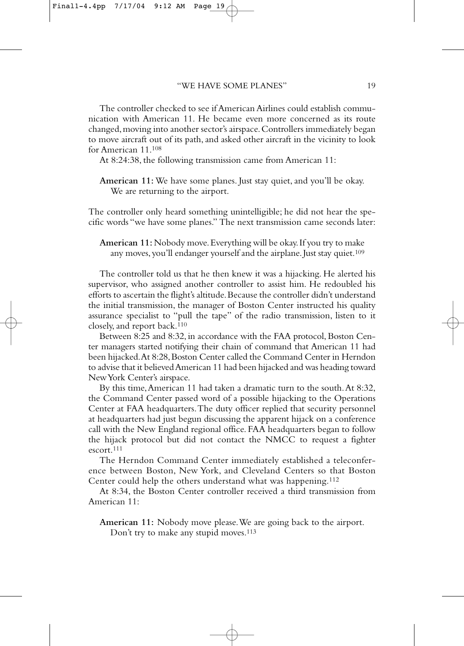The controller checked to see if American Airlines could establish communication with American 11. He became even more concerned as its route changed,moving into another sector's airspace.Controllers immediately began to move aircraft out of its path, and asked other aircraft in the vicinity to look for American 11.108

At 8:24:38, the following transmission came from American 11:

**American 11:** We have some planes. Just stay quiet, and you'll be okay. We are returning to the airport.

The controller only heard something unintelligible; he did not hear the specific words "we have some planes." The next transmission came seconds later:

**American 11:** Nobody move.Everything will be okay.If you try to make any moves, you'll endanger yourself and the airplane. Just stay quiet.<sup>109</sup>

The controller told us that he then knew it was a hijacking. He alerted his supervisor, who assigned another controller to assist him. He redoubled his efforts to ascertain the flight's altitude.Because the controller didn't understand the initial transmission, the manager of Boston Center instructed his quality assurance specialist to "pull the tape" of the radio transmission, listen to it closely, and report back.110

Between 8:25 and 8:32, in accordance with the FAA protocol, Boston Center managers started notifying their chain of command that American 11 had been hijacked.At 8:28,Boston Center called the Command Center in Herndon to advise that it believed American 11 had been hijacked and was heading toward New York Center's airspace.

By this time,American 11 had taken a dramatic turn to the south.At 8:32, the Command Center passed word of a possible hijacking to the Operations Center at FAA headquarters.The duty officer replied that security personnel at headquarters had just begun discussing the apparent hijack on a conference call with the New England regional office. FAA headquarters began to follow the hijack protocol but did not contact the NMCC to request a fighter escort.111

The Herndon Command Center immediately established a teleconference between Boston, New York, and Cleveland Centers so that Boston Center could help the others understand what was happening.112

At 8:34, the Boston Center controller received a third transmission from American 11:

**American 11:** Nobody move please.We are going back to the airport.

Don't try to make any stupid moves.<sup>113</sup>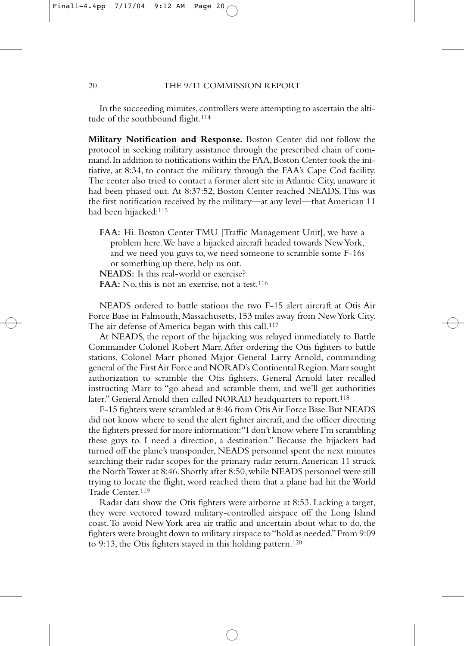In the succeeding minutes, controllers were attempting to ascertain the altitude of the southbound flight.114

**Military Notification and Response.** Boston Center did not follow the protocol in seeking military assistance through the prescribed chain of command.In addition to notifications within the FAA,Boston Center took the initiative, at 8:34, to contact the military through the FAA's Cape Cod facility. The center also tried to contact a former alert site in Atlantic City, unaware it had been phased out. At 8:37:52, Boston Center reached NEADS.This was the first notification received by the military—at any level—that American 11 had been hijacked:115

**FAA:** Hi. Boston Center TMU [Traffic Management Unit], we have a problem here.We have a hijacked aircraft headed towards New York, and we need you guys to, we need someone to scramble some F-16s or something up there, help us out. **NEADS:** Is this real-world or exercise? FAA: No, this is not an exercise, not a test.<sup>116</sup>

NEADS ordered to battle stations the two F-15 alert aircraft at Otis Air Force Base in Falmouth, Massachusetts, 153 miles away from New York City. The air defense of America began with this call.<sup>117</sup>

At NEADS, the report of the hijacking was relayed immediately to Battle Commander Colonel Robert Marr.After ordering the Otis fighters to battle stations, Colonel Marr phoned Major General Larry Arnold, commanding general of the First Air Force and NORAD's Continental Region.Marr sought authorization to scramble the Otis fighters. General Arnold later recalled instructing Marr to "go ahead and scramble them, and we'll get authorities later." General Arnold then called NORAD headquarters to report.<sup>118</sup>

F-15 fighters were scrambled at 8:46 from Otis Air Force Base.But NEADS did not know where to send the alert fighter aircraft, and the officer directing the fighters pressed for more information:"I don't know where I'm scrambling these guys to. I need a direction, a destination." Because the hijackers had turned off the plane's transponder, NEADS personnel spent the next minutes searching their radar scopes for the primary radar return.American 11 struck the North Tower at 8:46.Shortly after 8:50,while NEADS personnel were still trying to locate the flight, word reached them that a plane had hit the World Trade Center.119

Radar data show the Otis fighters were airborne at 8:53. Lacking a target, they were vectored toward military-controlled airspace off the Long Island coast.To avoid New York area air traffic and uncertain about what to do, the fighters were brought down to military airspace to "hold as needed."From 9:09 to 9:13, the Otis fighters stayed in this holding pattern.120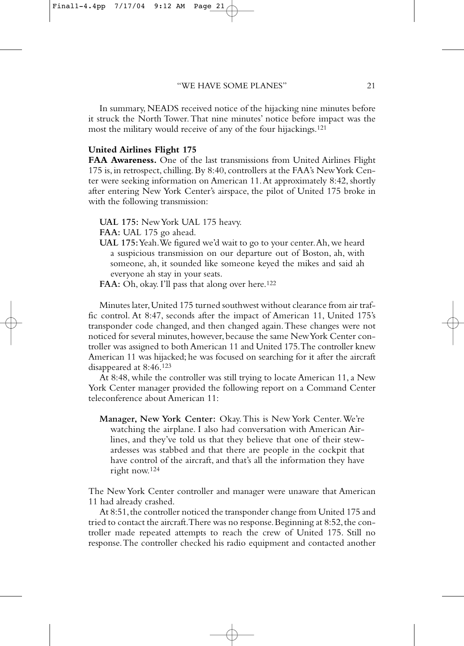In summary, NEADS received notice of the hijacking nine minutes before it struck the North Tower.That nine minutes' notice before impact was the most the military would receive of any of the four hijackings.121

#### **United Airlines Flight 175**

**FAA Awareness.** One of the last transmissions from United Airlines Flight 175 is, in retrospect, chilling. By 8:40, controllers at the FAA's New York Center were seeking information on American 11.At approximately 8:42, shortly after entering New York Center's airspace, the pilot of United 175 broke in with the following transmission:

**UAL 175:** New York UAL 175 heavy.

**FAA:** UAL 175 go ahead.

- **UAL 175:**Yeah.We figured we'd wait to go to your center.Ah,we heard a suspicious transmission on our departure out of Boston, ah, with someone, ah, it sounded like someone keyed the mikes and said ah everyone ah stay in your seats.
- FAA: Oh, okay. I'll pass that along over here.<sup>122</sup>

Minutes later,United 175 turned southwest without clearance from air traffic control. At 8:47, seconds after the impact of American 11, United 175's transponder code changed, and then changed again.These changes were not noticed for several minutes, however, because the same New York Center controller was assigned to both American 11 and United 175.The controller knew American 11 was hijacked; he was focused on searching for it after the aircraft disappeared at 8:46.123

At 8:48, while the controller was still trying to locate American 11, a New York Center manager provided the following report on a Command Center teleconference about American 11:

**Manager, New York Center:** Okay.This is New York Center.We're watching the airplane. I also had conversation with American Airlines, and they've told us that they believe that one of their stewardesses was stabbed and that there are people in the cockpit that have control of the aircraft, and that's all the information they have right now.124

The New York Center controller and manager were unaware that American 11 had already crashed.

At 8:51, the controller noticed the transponder change from United 175 and tried to contact the aircraft. There was no response. Beginning at 8:52, the controller made repeated attempts to reach the crew of United 175. Still no response.The controller checked his radio equipment and contacted another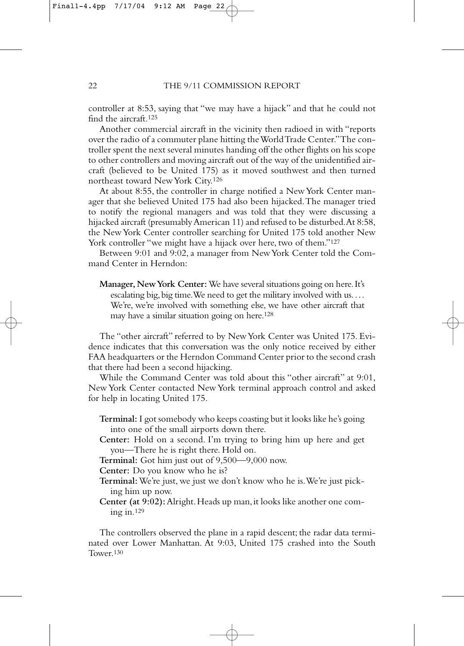controller at 8:53, saying that "we may have a hijack" and that he could not find the aircraft.125

Another commercial aircraft in the vicinity then radioed in with "reports over the radio of a commuter plane hitting the World Trade Center."The controller spent the next several minutes handing off the other flights on his scope to other controllers and moving aircraft out of the way of the unidentified aircraft (believed to be United 175) as it moved southwest and then turned northeast toward New York City.126

At about 8:55, the controller in charge notified a New York Center manager that she believed United 175 had also been hijacked.The manager tried to notify the regional managers and was told that they were discussing a hijacked aircraft (presumably American 11) and refused to be disturbed.At 8:58, the New York Center controller searching for United 175 told another New York controller "we might have a hijack over here, two of them."<sup>127</sup>

Between 9:01 and 9:02, a manager from New York Center told the Command Center in Herndon:

**Manager, New York Center:** We have several situations going on here. It's escalating big, big time. We need to get the military involved with us.... We're, we're involved with something else, we have other aircraft that may have a similar situation going on here.128

The "other aircraft" referred to by New York Center was United 175. Evidence indicates that this conversation was the only notice received by either FAA headquarters or the Herndon Command Center prior to the second crash that there had been a second hijacking.

While the Command Center was told about this "other aircraft" at 9:01, New York Center contacted New York terminal approach control and asked for help in locating United 175.

- **Terminal:** I got somebody who keeps coasting but it looks like he's going into one of the small airports down there.
- **Center:** Hold on a second. I'm trying to bring him up here and get you—There he is right there. Hold on.
- **Terminal:** Got him just out of 9,500—9,000 now.

**Center:** Do you know who he is?

- **Terminal:**We're just, we just we don't know who he is.We're just picking him up now.
- **Center (at 9:02):** Alright. Heads up man, it looks like another one coming in. $129$

The controllers observed the plane in a rapid descent; the radar data terminated over Lower Manhattan. At 9:03, United 175 crashed into the South Tower.130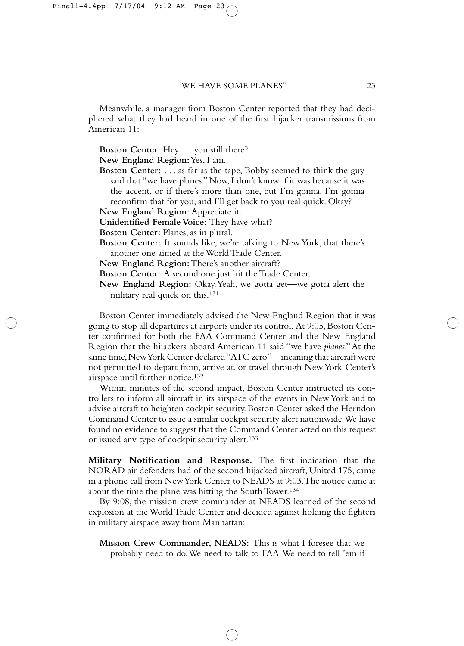Meanwhile, a manager from Boston Center reported that they had deciphered what they had heard in one of the first hijacker transmissions from American 11:

**Boston Center:** Hey . . . you still there?

**New England Region:**Yes, I am.

**Boston Center:** . . . as far as the tape, Bobby seemed to think the guy said that "we have planes." Now, I don't know if it was because it was the accent, or if there's more than one, but I'm gonna, I'm gonna reconfirm that for you, and I'll get back to you real quick. Okay?

**New England Region:** Appreciate it.

**Unidentified Female Voice:** They have what?

**Boston Center:** Planes, as in plural.

**Boston Center:** It sounds like, we're talking to New York, that there's another one aimed at the World Trade Center.

**New England Region:**There's another aircraft?

**Boston Center:** A second one just hit the Trade Center.

**New England Region:** Okay.Yeah, we gotta get—we gotta alert the military real quick on this.131

Boston Center immediately advised the New England Region that it was going to stop all departures at airports under its control. At 9:05, Boston Center confirmed for both the FAA Command Center and the New England Region that the hijackers aboard American 11 said "we have *planes*."At the same time, New York Center declared "ATC zero"—meaning that aircraft were not permitted to depart from, arrive at, or travel through New York Center's airspace until further notice.132

Within minutes of the second impact, Boston Center instructed its controllers to inform all aircraft in its airspace of the events in New York and to advise aircraft to heighten cockpit security. Boston Center asked the Herndon Command Center to issue a similar cockpit security alert nationwide.We have found no evidence to suggest that the Command Center acted on this request or issued any type of cockpit security alert.133

**Military Notification and Response.** The first indication that the NORAD air defenders had of the second hijacked aircraft, United 175, came in a phone call from New York Center to NEADS at 9:03.The notice came at about the time the plane was hitting the South Tower.134

By 9:08, the mission crew commander at NEADS learned of the second explosion at the World Trade Center and decided against holding the fighters in military airspace away from Manhattan:

**Mission Crew Commander, NEADS:** This is what I foresee that we probably need to do.We need to talk to FAA.We need to tell 'em if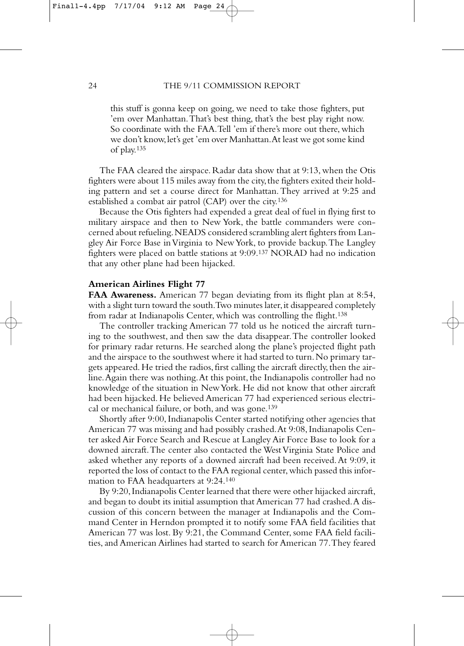this stuff is gonna keep on going, we need to take those fighters, put 'em over Manhattan.That's best thing, that's the best play right now. So coordinate with the FAA.Tell 'em if there's more out there, which we don't know,let's get 'em over Manhattan.At least we got some kind of play.135

The FAA cleared the airspace. Radar data show that at 9:13, when the Otis fighters were about 115 miles away from the city, the fighters exited their holding pattern and set a course direct for Manhattan.They arrived at 9:25 and established a combat air patrol (CAP) over the city.136

Because the Otis fighters had expended a great deal of fuel in flying first to military airspace and then to New York, the battle commanders were concerned about refueling.NEADS considered scrambling alert fighters from Langley Air Force Base in Virginia to New York, to provide backup.The Langley fighters were placed on battle stations at 9:09.137 NORAD had no indication that any other plane had been hijacked.

#### **American Airlines Flight 77**

FAA Awareness. American 77 began deviating from its flight plan at 8:54, with a slight turn toward the south. Two minutes later, it disappeared completely from radar at Indianapolis Center, which was controlling the flight.138

The controller tracking American 77 told us he noticed the aircraft turning to the southwest, and then saw the data disappear.The controller looked for primary radar returns. He searched along the plane's projected flight path and the airspace to the southwest where it had started to turn. No primary targets appeared. He tried the radios, first calling the aircraft directly, then the airline.Again there was nothing.At this point, the Indianapolis controller had no knowledge of the situation in New York. He did not know that other aircraft had been hijacked. He believed American 77 had experienced serious electrical or mechanical failure, or both, and was gone.139

Shortly after 9:00, Indianapolis Center started notifying other agencies that American 77 was missing and had possibly crashed.At 9:08, Indianapolis Center asked Air Force Search and Rescue at Langley Air Force Base to look for a downed aircraft.The center also contacted the West Virginia State Police and asked whether any reports of a downed aircraft had been received.At 9:09, it reported the loss of contact to the FAA regional center, which passed this information to FAA headquarters at 9:24.140

By 9:20,Indianapolis Center learned that there were other hijacked aircraft, and began to doubt its initial assumption that American 77 had crashed.A discussion of this concern between the manager at Indianapolis and the Command Center in Herndon prompted it to notify some FAA field facilities that American 77 was lost. By 9:21, the Command Center, some FAA field facilities, and American Airlines had started to search for American 77.They feared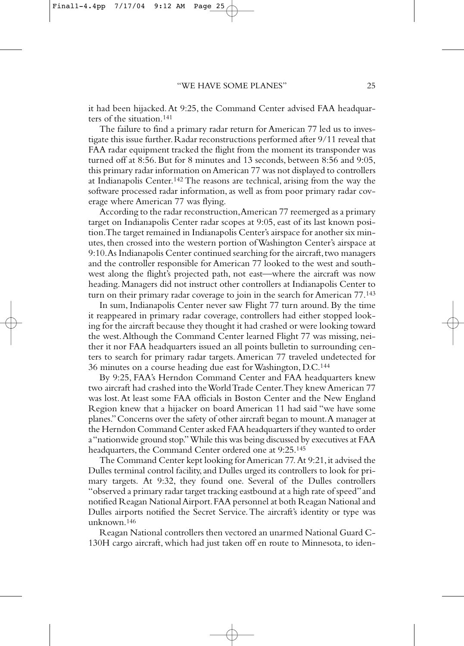it had been hijacked.At 9:25, the Command Center advised FAA headquarters of the situation.141

The failure to find a primary radar return for American 77 led us to investigate this issue further.Radar reconstructions performed after 9/11 reveal that FAA radar equipment tracked the flight from the moment its transponder was turned off at 8:56. But for 8 minutes and 13 seconds, between 8:56 and 9:05, this primary radar information on American 77 was not displayed to controllers at Indianapolis Center.142 The reasons are technical, arising from the way the software processed radar information, as well as from poor primary radar coverage where American 77 was flying.

According to the radar reconstruction,American 77 reemerged as a primary target on Indianapolis Center radar scopes at 9:05, east of its last known position.The target remained in Indianapolis Center's airspace for another six minutes, then crossed into the western portion of Washington Center's airspace at 9:10. As Indianapolis Center continued searching for the aircraft, two managers and the controller responsible for American 77 looked to the west and southwest along the flight's projected path, not east—where the aircraft was now heading. Managers did not instruct other controllers at Indianapolis Center to turn on their primary radar coverage to join in the search for American 77.143

In sum, Indianapolis Center never saw Flight 77 turn around. By the time it reappeared in primary radar coverage, controllers had either stopped looking for the aircraft because they thought it had crashed or were looking toward the west.Although the Command Center learned Flight 77 was missing, neither it nor FAA headquarters issued an all points bulletin to surrounding centers to search for primary radar targets. American 77 traveled undetected for 36 minutes on a course heading due east for Washington, D.C.144

By 9:25, FAA's Herndon Command Center and FAA headquarters knew two aircraft had crashed into the World Trade Center.They knew American 77 was lost.At least some FAA officials in Boston Center and the New England Region knew that a hijacker on board American 11 had said "we have some planes."Concerns over the safety of other aircraft began to mount.A manager at the Herndon Command Center asked FAA headquarters if they wanted to order a "nationwide ground stop."While this was being discussed by executives at FAA headquarters, the Command Center ordered one at 9:25.145

The Command Center kept looking for American 77. At 9:21, it advised the Dulles terminal control facility, and Dulles urged its controllers to look for primary targets. At 9:32, they found one. Several of the Dulles controllers "observed a primary radar target tracking eastbound at a high rate of speed"and notified Reagan National Airport.FAA personnel at both Reagan National and Dulles airports notified the Secret Service.The aircraft's identity or type was unknown.146

Reagan National controllers then vectored an unarmed National Guard C-130H cargo aircraft, which had just taken off en route to Minnesota, to iden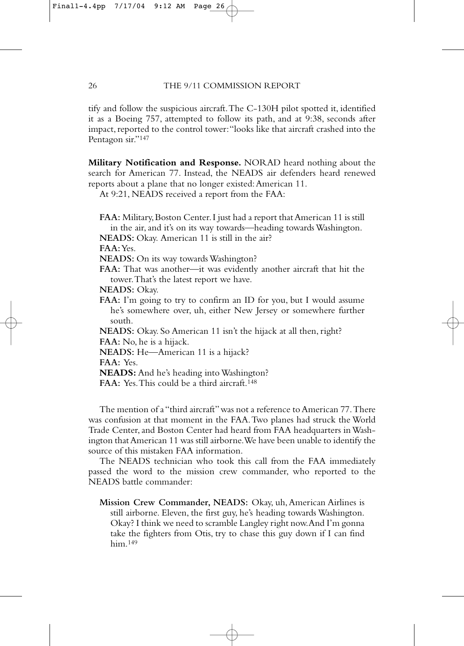tify and follow the suspicious aircraft.The C-130H pilot spotted it, identified it as a Boeing 757, attempted to follow its path, and at 9:38, seconds after impact, reported to the control tower:"looks like that aircraft crashed into the Pentagon sir."147

**Military Notification and Response.** NORAD heard nothing about the search for American 77. Instead, the NEADS air defenders heard renewed reports about a plane that no longer existed:American 11.

At 9:21, NEADS received a report from the FAA:

**FAA:** Military, Boston Center. I just had a report that American 11 is still in the air, and it's on its way towards—heading towards Washington.

**NEADS:** Okay. American 11 is still in the air?

**FAA:**Yes.

**NEADS:** On its way towards Washington?

**FAA:** That was another—it was evidently another aircraft that hit the tower.That's the latest report we have.

**NEADS:** Okay.

**FAA:** I'm going to try to confirm an ID for you, but I would assume he's somewhere over, uh, either New Jersey or somewhere further south.

**NEADS:** Okay. So American 11 isn't the hijack at all then, right? **FAA:** No, he is a hijack.

**NEADS:** He—American 11 is a hijack?

**FAA:** Yes.

**NEADS:** And he's heading into Washington?

**FAA:** Yes.This could be a third aircraft.148

The mention of a "third aircraft" was not a reference to American 77. There was confusion at that moment in the FAA.Two planes had struck the World Trade Center, and Boston Center had heard from FAA headquarters in Washington that American 11 was still airborne.We have been unable to identify the source of this mistaken FAA information.

The NEADS technician who took this call from the FAA immediately passed the word to the mission crew commander, who reported to the NEADS battle commander:

**Mission Crew Commander, NEADS:** Okay, uh, American Airlines is still airborne. Eleven, the first guy, he's heading towards Washington. Okay? I think we need to scramble Langley right now.And I'm gonna take the fighters from Otis, try to chase this guy down if I can find him.149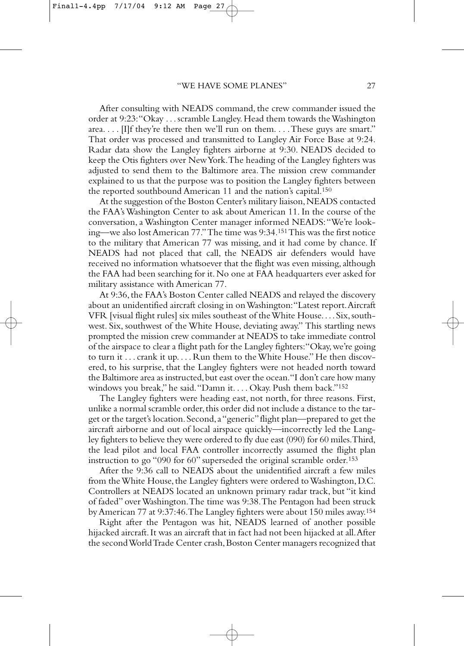After consulting with NEADS command, the crew commander issued the order at 9:23:"Okay . . . scramble Langley. Head them towards the Washington area. . . . [I]f they're there then we'll run on them. . . .These guys are smart." That order was processed and transmitted to Langley Air Force Base at 9:24. Radar data show the Langley fighters airborne at 9:30. NEADS decided to keep the Otis fighters over New York.The heading of the Langley fighters was adjusted to send them to the Baltimore area.The mission crew commander explained to us that the purpose was to position the Langley fighters between the reported southbound American 11 and the nation's capital.150

At the suggestion of the Boston Center's military liaison, NEADS contacted the FAA's Washington Center to ask about American 11. In the course of the conversation, a Washington Center manager informed NEADS:"We're looking—we also lost American 77."The time was 9:34.151This was the first notice to the military that American 77 was missing, and it had come by chance. If NEADS had not placed that call, the NEADS air defenders would have received no information whatsoever that the flight was even missing, although the FAA had been searching for it.No one at FAA headquarters ever asked for military assistance with American 77.

At 9:36, the FAA's Boston Center called NEADS and relayed the discovery about an unidentified aircraft closing in on Washington:"Latest report.Aircraft VFR [visual flight rules] six miles southeast of the White House.... Six, southwest. Six, southwest of the White House, deviating away." This startling news prompted the mission crew commander at NEADS to take immediate control of the airspace to clear a flight path for the Langley fighters:"Okay,we're going to turn it . . . crank it up. . . . Run them to the White House." He then discovered, to his surprise, that the Langley fighters were not headed north toward the Baltimore area as instructed, but east over the ocean. "I don't care how many windows you break," he said. "Damn it.... Okay. Push them back."<sup>152</sup>

The Langley fighters were heading east, not north, for three reasons. First, unlike a normal scramble order, this order did not include a distance to the target or the target's location. Second, a "generic" flight plan—prepared to get the aircraft airborne and out of local airspace quickly—incorrectly led the Langley fighters to believe they were ordered to fly due east (090) for 60 miles.Third, the lead pilot and local FAA controller incorrectly assumed the flight plan instruction to go "090 for 60" superseded the original scramble order.153

After the 9:36 call to NEADS about the unidentified aircraft a few miles from the White House, the Langley fighters were ordered to Washington, D.C. Controllers at NEADS located an unknown primary radar track, but "it kind of faded" over Washington.The time was 9:38.The Pentagon had been struck by American 77 at 9:37:46.The Langley fighters were about 150 miles away.154

Right after the Pentagon was hit, NEADS learned of another possible hijacked aircraft.It was an aircraft that in fact had not been hijacked at all.After the second World Trade Center crash, Boston Center managers recognized that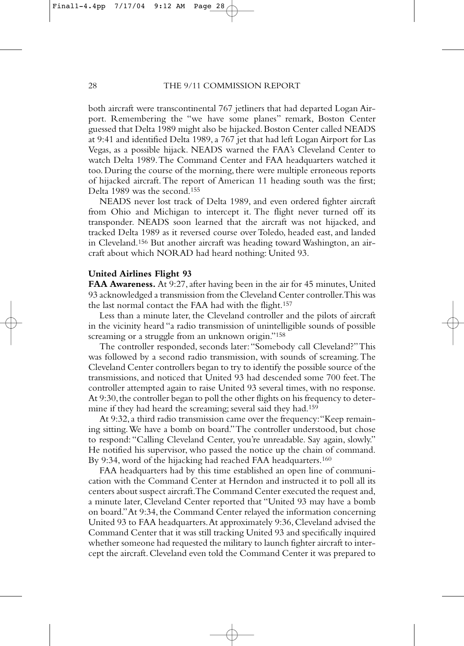both aircraft were transcontinental 767 jetliners that had departed Logan Airport. Remembering the "we have some planes" remark, Boston Center guessed that Delta 1989 might also be hijacked.Boston Center called NEADS at 9:41 and identified Delta 1989, a 767 jet that had left Logan Airport for Las Vegas, as a possible hijack. NEADS warned the FAA's Cleveland Center to watch Delta 1989.The Command Center and FAA headquarters watched it too. During the course of the morning, there were multiple erroneous reports of hijacked aircraft. The report of American 11 heading south was the first; Delta 1989 was the second.155

NEADS never lost track of Delta 1989, and even ordered fighter aircraft from Ohio and Michigan to intercept it. The flight never turned off its transponder. NEADS soon learned that the aircraft was not hijacked, and tracked Delta 1989 as it reversed course over Toledo, headed east, and landed in Cleveland.156 But another aircraft was heading toward Washington, an aircraft about which NORAD had heard nothing: United 93.

#### **United Airlines Flight 93**

**FAA Awareness.** At 9:27, after having been in the air for 45 minutes, United 93 acknowledged a transmission from the Cleveland Center controller.This was the last normal contact the FAA had with the flight.157

Less than a minute later, the Cleveland controller and the pilots of aircraft in the vicinity heard "a radio transmission of unintelligible sounds of possible screaming or a struggle from an unknown origin."<sup>158</sup>

The controller responded, seconds later:"Somebody call Cleveland?"This was followed by a second radio transmission, with sounds of screaming.The Cleveland Center controllers began to try to identify the possible source of the transmissions, and noticed that United 93 had descended some 700 feet.The controller attempted again to raise United 93 several times, with no response. At 9:30, the controller began to poll the other flights on his frequency to determine if they had heard the screaming; several said they had.159

At 9:32, a third radio transmission came over the frequency:"Keep remaining sitting.We have a bomb on board."The controller understood, but chose to respond: "Calling Cleveland Center, you're unreadable. Say again, slowly." He notified his supervisor, who passed the notice up the chain of command. By 9:34, word of the hijacking had reached FAA headquarters.<sup>160</sup>

FAA headquarters had by this time established an open line of communication with the Command Center at Herndon and instructed it to poll all its centers about suspect aircraft.The Command Center executed the request and, a minute later, Cleveland Center reported that "United 93 may have a bomb on board."At 9:34, the Command Center relayed the information concerning United 93 to FAA headquarters.At approximately 9:36, Cleveland advised the Command Center that it was still tracking United 93 and specifically inquired whether someone had requested the military to launch fighter aircraft to intercept the aircraft. Cleveland even told the Command Center it was prepared to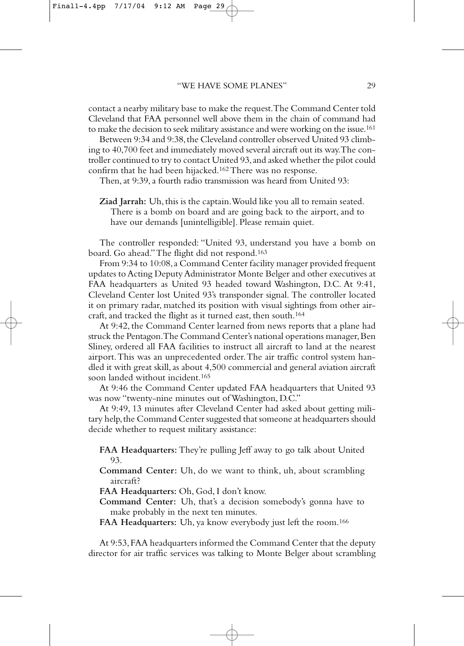contact a nearby military base to make the request.The Command Center told Cleveland that FAA personnel well above them in the chain of command had to make the decision to seek military assistance and were working on the issue.161

Between 9:34 and 9:38, the Cleveland controller observed United 93 climbing to 40,700 feet and immediately moved several aircraft out its way.The controller continued to try to contact United 93,and asked whether the pilot could confirm that he had been hijacked.162There was no response.

Then, at 9:39, a fourth radio transmission was heard from United 93:

**Ziad Jarrah:** Uh, this is the captain.Would like you all to remain seated. There is a bomb on board and are going back to the airport, and to have our demands [unintelligible]. Please remain quiet.

The controller responded: "United 93, understand you have a bomb on board. Go ahead."The flight did not respond.163

From 9:34 to 10:08,a Command Center facility manager provided frequent updates to Acting Deputy Administrator Monte Belger and other executives at FAA headquarters as United 93 headed toward Washington, D.C. At 9:41, Cleveland Center lost United 93's transponder signal. The controller located it on primary radar, matched its position with visual sightings from other aircraft, and tracked the flight as it turned east, then south.164

At 9:42, the Command Center learned from news reports that a plane had struck the Pentagon. The Command Center's national operations manager, Ben Sliney, ordered all FAA facilities to instruct all aircraft to land at the nearest airport.This was an unprecedented order.The air traffic control system handled it with great skill, as about 4,500 commercial and general aviation aircraft soon landed without incident.165

At 9:46 the Command Center updated FAA headquarters that United 93 was now "twenty-nine minutes out of Washington, D.C."

At 9:49, 13 minutes after Cleveland Center had asked about getting military help, the Command Center suggested that someone at headquarters should decide whether to request military assistance:

**FAA Headquarters:** They're pulling Jeff away to go talk about United 93.

- **Command Center:** Uh, do we want to think, uh, about scrambling aircraft?
- **FAA Headquarters:** Oh, God, I don't know.
- **Command Center:** Uh, that's a decision somebody's gonna have to make probably in the next ten minutes.
- **FAA Headquarters:** Uh, ya know everybody just left the room.166

At 9:53,FAA headquarters informed the Command Center that the deputy director for air traffic services was talking to Monte Belger about scrambling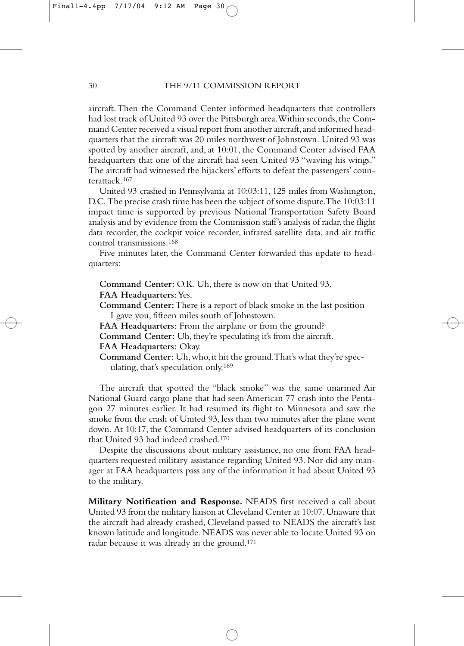aircraft. Then the Command Center informed headquarters that controllers had lost track of United 93 over the Pittsburgh area. Within seconds, the Command Center received a visual report from another aircraft, and informed headquarters that the aircraft was 20 miles northwest of Johnstown. United 93 was spotted by another aircraft, and, at 10:01, the Command Center advised FAA headquarters that one of the aircraft had seen United 93 "waving his wings." The aircraft had witnessed the hijackers' efforts to defeat the passengers' counterattack.167

United 93 crashed in Pennsylvania at 10:03:11, 125 miles from Washington, D.C.The precise crash time has been the subject of some dispute.The 10:03:11 impact time is supported by previous National Transportation Safety Board analysis and by evidence from the Commission staff's analysis of radar, the flight data recorder, the cockpit voice recorder, infrared satellite data, and air traffic control transmissions.168

Five minutes later, the Command Center forwarded this update to headquarters:

**Command Center:** O.K. Uh, there is now on that United 93.

**FAA Headquarters:**Yes.

**Command Center:**There is a report of black smoke in the last position I gave you, fifteen miles south of Johnstown.

**FAA Headquarters:** From the airplane or from the ground?

**Command Center:** Uh, they're speculating it's from the aircraft.

**FAA Headquarters:** Okay.

**Command Center:** Uh,who,it hit the ground.That's what they're speculating, that's speculation only.169

The aircraft that spotted the "black smoke" was the same unarmed Air National Guard cargo plane that had seen American 77 crash into the Pentagon 27 minutes earlier. It had resumed its flight to Minnesota and saw the smoke from the crash of United 93, less than two minutes after the plane went down. At 10:17, the Command Center advised headquarters of its conclusion that United 93 had indeed crashed.170

Despite the discussions about military assistance, no one from FAA headquarters requested military assistance regarding United 93. Nor did any manager at FAA headquarters pass any of the information it had about United 93 to the military.

**Military Notification and Response.** NEADS first received a call about United 93 from the military liaison at Cleveland Center at 10:07.Unaware that the aircraft had already crashed, Cleveland passed to NEADS the aircraft's last known latitude and longitude. NEADS was never able to locate United 93 on radar because it was already in the ground.171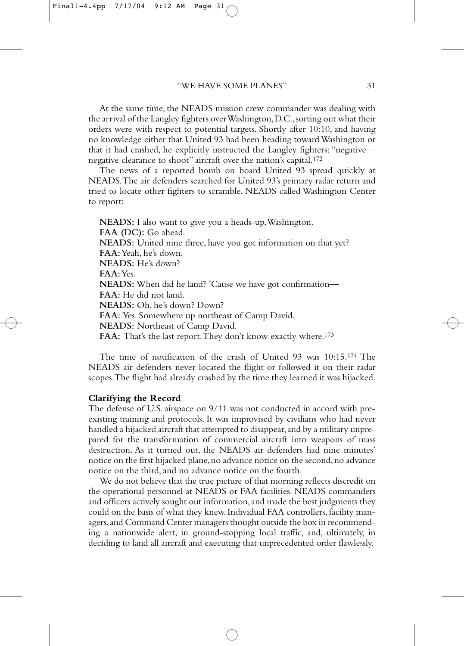At the same time, the NEADS mission crew commander was dealing with the arrival of the Langley fighters over Washington, D.C., sorting out what their orders were with respect to potential targets. Shortly after 10:10, and having no knowledge either that United 93 had been heading toward Washington or that it had crashed, he explicitly instructed the Langley fighters: "negative negative clearance to shoot" aircraft over the nation's capital.172

The news of a reported bomb on board United 93 spread quickly at NEADS.The air defenders searched for United 93's primary radar return and tried to locate other fighters to scramble. NEADS called Washington Center to report:

**NEADS:** I also want to give you a heads-up,Washington. **FAA (DC):** Go ahead. **NEADS:** United nine three, have you got information on that yet? **FAA:**Yeah, he's down. **NEADS:** He's down? **FAA:**Yes. **NEADS:** When did he land? 'Cause we have got confirmation— **FAA:** He did not land. **NEADS:** Oh, he's down? Down? **FAA:** Yes. Somewhere up northeast of Camp David. **NEADS:** Northeast of Camp David. FAA: That's the last report. They don't know exactly where.<sup>173</sup>

The time of notification of the crash of United 93 was 10:15.174 The NEADS air defenders never located the flight or followed it on their radar scopes.The flight had already crashed by the time they learned it was hijacked.

#### **Clarifying the Record**

The defense of U.S. airspace on 9/11 was not conducted in accord with preexisting training and protocols. It was improvised by civilians who had never handled a hijacked aircraft that attempted to disappear, and by a military unprepared for the transformation of commercial aircraft into weapons of mass destruction. As it turned out, the NEADS air defenders had nine minutes' notice on the first hijacked plane, no advance notice on the second, no advance notice on the third, and no advance notice on the fourth.

We do not believe that the true picture of that morning reflects discredit on the operational personnel at NEADS or FAA facilities. NEADS commanders and officers actively sought out information, and made the best judgments they could on the basis of what they knew. Individual FAA controllers, facility managers,and Command Center managers thought outside the box in recommending a nationwide alert, in ground-stopping local traffic, and, ultimately, in deciding to land all aircraft and executing that unprecedented order flawlessly.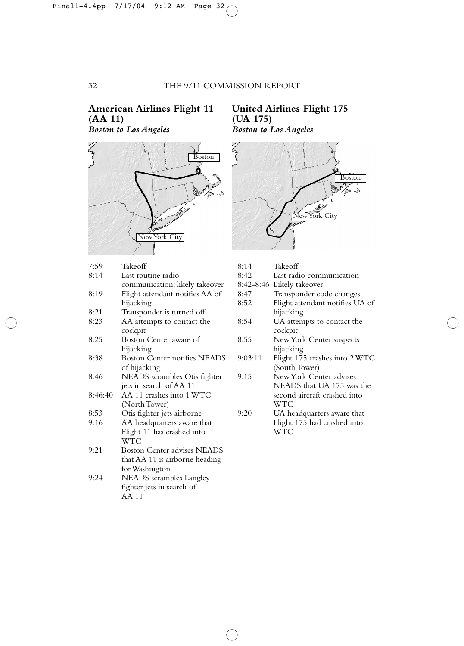## **American Airlines Flight 11 (AA 11)** *Boston to Los Angeles*



| 7:59    | Takeoff                             |
|---------|-------------------------------------|
| 8:14    | Last routine radio                  |
|         | communication; likely takeover      |
| 8:19    | Flight attendant notifies AA of     |
|         | hijacking                           |
| 8:21    | Transponder is turned off           |
| 8:23    | AA attempts to contact the          |
|         | cockpit                             |
| 8:25    | Boston Center aware of              |
|         | hijacking                           |
| 8:38    | <b>Boston Center notifies NEADS</b> |
|         | of hijacking                        |
| 8:46    | NEADS scrambles Otis fighter        |
|         | jets in search of AA 11             |
| 8:46:40 | AA 11 crashes into 1 WTC            |
|         | (North Tower)                       |
| 8:53    | Otis fighter jets airborne          |
| 9:16    | AA headquarters aware that          |
|         | Flight 11 has crashed into          |
|         | <b>WTC</b>                          |
| 9:21    | <b>Boston Center advises NEADS</b>  |
|         | that AA 11 is airborne heading      |
|         | for Washington                      |
| 9:24    | NEADS scrambles Langley             |
|         | fighter jets in search of           |
|         | AA 11                               |

## **United Airlines Flight 175 (UA 175)** *Boston to Los Angeles*



|    | 8:14    | Takeoff                         |
|----|---------|---------------------------------|
|    | 8:42    | Last radio communication        |
| r  |         | 8:42-8:46 Likely takeover       |
| Ê  | 8:47    | Transponder code changes        |
|    | 8:52    | Flight attendant notifies UA of |
|    |         | hijacking                       |
|    | 8:54    | UA attempts to contact the      |
|    |         | cockpit                         |
|    | 8:55    | New York Center suspects        |
|    |         | hijacking                       |
| ۱S | 9:03:11 | Flight 175 crashes into 2 WTC   |
|    |         | (South Tower)                   |
|    | 9:15    | New York Center advises         |
|    |         | NEADS that UA 175 was the       |
|    |         | second aircraft crashed into    |
|    |         | WTC                             |
|    | 9:20    | UA headquarters aware that      |
|    |         | Flight 175 had crashed into     |
|    |         | WTC                             |
|    |         |                                 |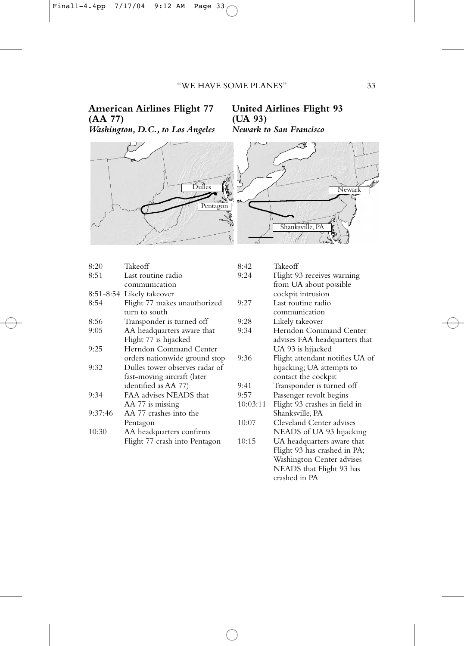## **American Airlines Flight 77 (AA 77)**

*Washington, D.C., to Los Angeles*





| 8:20    | Takeoff                        |
|---------|--------------------------------|
| 8:51    | Last routine radio             |
|         | communication                  |
|         | 8:51-8:54 Likely takeover      |
| 8:54    | Flight 77 makes unauthorized   |
|         | turn to south                  |
| 8:56    | Transponder is turned off      |
| 9:05    | AA headquarters aware that     |
|         | Flight 77 is hijacked          |
| 9:25    | Herndon Command Center         |
|         | orders nationwide ground stop  |
| 9:32    | Dulles tower observes radar of |
|         | fast-moving aircraft (later    |
|         | identified as AA 77)           |
| 9:34    | FAA advises NEADS that         |
|         | AA 77 is missing               |
| 9:37:46 | AA 77 crashes into the         |
|         | Pentagon                       |
| 10:30   | AA headquarters confirms       |
|         | Flight 77 crash into Pentagon  |
|         |                                |

| 8:42     | Takeoff                         |
|----------|---------------------------------|
| 9:24     | Flight 93 receives warning      |
|          | from UA about possible          |
|          | cockpit intrusion               |
| 9:27     | Last routine radio              |
|          | communication                   |
| 9:28     | Likely takeover                 |
| 9:34     | Herndon Command Center          |
|          | advises FAA headquarters that   |
|          | UA 93 is hijacked               |
| 9:36     | Flight attendant notifies UA of |
|          | hijacking; UA attempts to       |
|          | contact the cockpit             |
| 9:41     | Transponder is turned off       |
| 9:57     | Passenger revolt begins         |
| 10:03:11 | Flight 93 crashes in field in   |
|          | Shanksville, PA                 |
| 10:07    | Cleveland Center advises        |
|          | NEADS of UA 93 hijacking        |
| 10:15    | UA headquarters aware that      |
|          | Flight 93 has crashed in PA;    |
|          | Washington Center advises       |
|          | NEADS that Flight 93 has        |
|          | crashed in PA                   |
|          |                                 |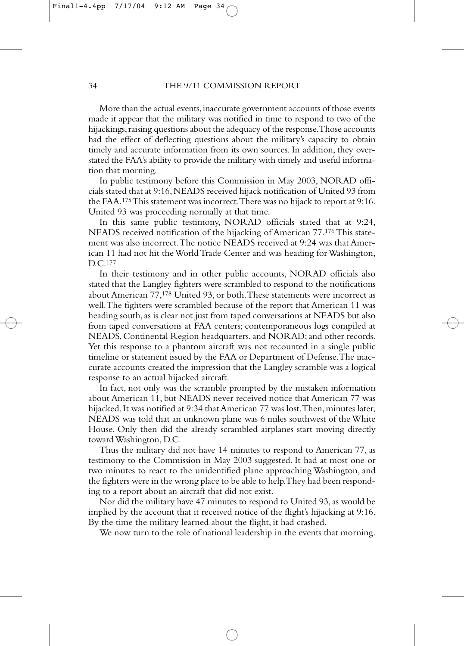More than the actual events, inaccurate government accounts of those events made it appear that the military was notified in time to respond to two of the hijackings, raising questions about the adequacy of the response. Those accounts had the effect of deflecting questions about the military's capacity to obtain timely and accurate information from its own sources. In addition, they overstated the FAA's ability to provide the military with timely and useful information that morning.

In public testimony before this Commission in May 2003, NORAD officials stated that at 9:16,NEADS received hijack notification of United 93 from the FAA.175This statement was incorrect.There was no hijack to report at 9:16. United 93 was proceeding normally at that time.

In this same public testimony, NORAD officials stated that at 9:24, NEADS received notification of the hijacking of American 77.<sup>176</sup> This statement was also incorrect.The notice NEADS received at 9:24 was that American 11 had not hit the World Trade Center and was heading for Washington, D.C.177

In their testimony and in other public accounts, NORAD officials also stated that the Langley fighters were scrambled to respond to the notifications about American 77,178 United 93, or both.These statements were incorrect as well.The fighters were scrambled because of the report that American 11 was heading south, as is clear not just from taped conversations at NEADS but also from taped conversations at FAA centers; contemporaneous logs compiled at NEADS, Continental Region headquarters, and NORAD; and other records. Yet this response to a phantom aircraft was not recounted in a single public timeline or statement issued by the FAA or Department of Defense.The inaccurate accounts created the impression that the Langley scramble was a logical response to an actual hijacked aircraft.

In fact, not only was the scramble prompted by the mistaken information about American 11, but NEADS never received notice that American 77 was hijacked. It was notified at 9:34 that American 77 was lost. Then, minutes later, NEADS was told that an unknown plane was 6 miles southwest of the White House. Only then did the already scrambled airplanes start moving directly toward Washington, D.C.

Thus the military did not have 14 minutes to respond to American 77, as testimony to the Commission in May 2003 suggested. It had at most one or two minutes to react to the unidentified plane approaching Washington, and the fighters were in the wrong place to be able to help.They had been responding to a report about an aircraft that did not exist.

Nor did the military have 47 minutes to respond to United 93, as would be implied by the account that it received notice of the flight's hijacking at 9:16. By the time the military learned about the flight, it had crashed.

We now turn to the role of national leadership in the events that morning.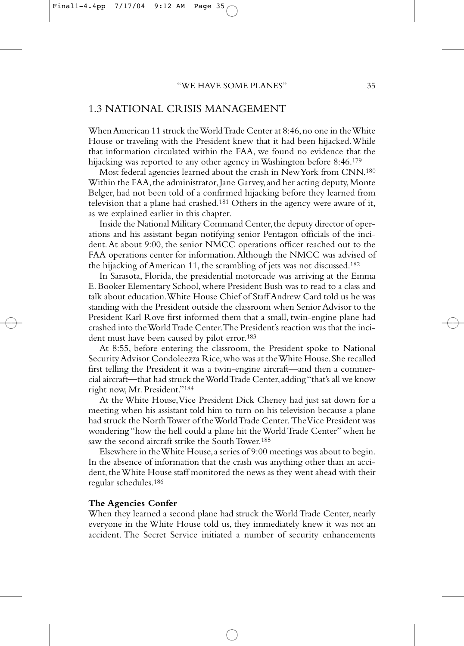## 1.3 NATIONAL CRISIS MANAGEMENT

When American 11 struck the World Trade Center at 8:46, no one in the White House or traveling with the President knew that it had been hijacked.While that information circulated within the FAA, we found no evidence that the hijacking was reported to any other agency in Washington before 8:46.<sup>179</sup>

Most federal agencies learned about the crash in New York from CNN.180 Within the FAA, the administrator, Jane Garvey, and her acting deputy, Monte Belger, had not been told of a confirmed hijacking before they learned from television that a plane had crashed.181 Others in the agency were aware of it, as we explained earlier in this chapter.

Inside the National Military Command Center, the deputy director of operations and his assistant began notifying senior Pentagon officials of the incident.At about 9:00, the senior NMCC operations officer reached out to the FAA operations center for information.Although the NMCC was advised of the hijacking of American 11, the scrambling of jets was not discussed.182

In Sarasota, Florida, the presidential motorcade was arriving at the Emma E. Booker Elementary School, where President Bush was to read to a class and talk about education.White House Chief of Staff Andrew Card told us he was standing with the President outside the classroom when Senior Advisor to the President Karl Rove first informed them that a small, twin-engine plane had crashed into the World Trade Center.The President's reaction was that the incident must have been caused by pilot error.<sup>183</sup>

At 8:55, before entering the classroom, the President spoke to National Security Advisor Condoleezza Rice,who was at the White House.She recalled first telling the President it was a twin-engine aircraft—and then a commercial aircraft—that had struck the World Trade Center,adding "that's all we know right now, Mr. President."184

At the White House,Vice President Dick Cheney had just sat down for a meeting when his assistant told him to turn on his television because a plane had struck the North Tower of the World Trade Center.The Vice President was wondering "how the hell could a plane hit the World Trade Center" when he saw the second aircraft strike the South Tower.185

Elsewhere in the White House,a series of 9:00 meetings was about to begin. In the absence of information that the crash was anything other than an accident, the White House staff monitored the news as they went ahead with their regular schedules.186

#### **The Agencies Confer**

When they learned a second plane had struck the World Trade Center, nearly everyone in the White House told us, they immediately knew it was not an accident. The Secret Service initiated a number of security enhancements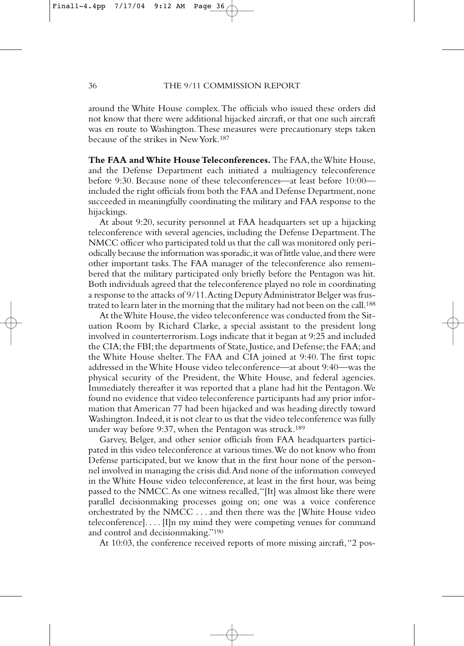around the White House complex.The officials who issued these orders did not know that there were additional hijacked aircraft, or that one such aircraft was en route to Washington.These measures were precautionary steps taken because of the strikes in New York.187

**The FAA and White House Teleconferences.**The FAA,the White House, and the Defense Department each initiated a multiagency teleconference before 9:30. Because none of these teleconferences—at least before 10:00 included the right officials from both the FAA and Defense Department, none succeeded in meaningfully coordinating the military and FAA response to the hijackings.

At about 9:20, security personnel at FAA headquarters set up a hijacking teleconference with several agencies, including the Defense Department.The NMCC officer who participated told us that the call was monitored only periodically because the information was sporadic, it was of little value, and there were other important tasks.The FAA manager of the teleconference also remembered that the military participated only briefly before the Pentagon was hit. Both individuals agreed that the teleconference played no role in coordinating a response to the attacks of 9/11.Acting Deputy Administrator Belger was frustrated to learn later in the morning that the military had not been on the call.188

At the White House, the video teleconference was conducted from the Situation Room by Richard Clarke, a special assistant to the president long involved in counterterrorism. Logs indicate that it began at 9:25 and included the CIA; the FBI; the departments of State, Justice, and Defense; the FAA; and the White House shelter. The FAA and CIA joined at 9:40. The first topic addressed in the White House video teleconference—at about 9:40—was the physical security of the President, the White House, and federal agencies. Immediately thereafter it was reported that a plane had hit the Pentagon.We found no evidence that video teleconference participants had any prior information that American 77 had been hijacked and was heading directly toward Washington. Indeed, it is not clear to us that the video teleconference was fully under way before 9:37, when the Pentagon was struck.189

Garvey, Belger, and other senior officials from FAA headquarters participated in this video teleconference at various times.We do not know who from Defense participated, but we know that in the first hour none of the personnel involved in managing the crisis did.And none of the information conveyed in the White House video teleconference, at least in the first hour, was being passed to the NMCC.As one witness recalled,"[It] was almost like there were parallel decisionmaking processes going on; one was a voice conference orchestrated by the NMCC . . . and then there was the [White House video teleconference]. . . . [I]n my mind they were competing venues for command and control and decisionmaking."190

At 10:03, the conference received reports of more missing aircraft,"2 pos-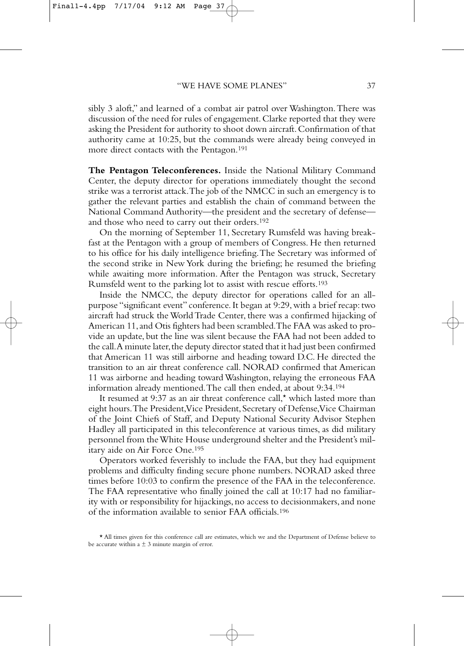sibly 3 aloft," and learned of a combat air patrol over Washington.There was discussion of the need for rules of engagement.Clarke reported that they were asking the President for authority to shoot down aircraft.Confirmation of that authority came at 10:25, but the commands were already being conveyed in more direct contacts with the Pentagon.191

**The Pentagon Teleconferences.** Inside the National Military Command Center, the deputy director for operations immediately thought the second strike was a terrorist attack.The job of the NMCC in such an emergency is to gather the relevant parties and establish the chain of command between the National Command Authority—the president and the secretary of defense and those who need to carry out their orders.192

On the morning of September 11, Secretary Rumsfeld was having breakfast at the Pentagon with a group of members of Congress. He then returned to his office for his daily intelligence briefing.The Secretary was informed of the second strike in New York during the briefing; he resumed the briefing while awaiting more information. After the Pentagon was struck, Secretary Rumsfeld went to the parking lot to assist with rescue efforts.193

Inside the NMCC, the deputy director for operations called for an allpurpose "significant event" conference. It began at 9:29, with a brief recap: two aircraft had struck the World Trade Center, there was a confirmed hijacking of American 11,and Otis fighters had been scrambled.The FAA was asked to provide an update, but the line was silent because the FAA had not been added to the call.A minute later, the deputy director stated that it had just been confirmed that American 11 was still airborne and heading toward D.C. He directed the transition to an air threat conference call. NORAD confirmed that American 11 was airborne and heading toward Washington, relaying the erroneous FAA information already mentioned.The call then ended, at about 9:34.194

It resumed at 9:37 as an air threat conference call,\* which lasted more than eight hours. The President, Vice President, Secretary of Defense, Vice Chairman of the Joint Chiefs of Staff, and Deputy National Security Advisor Stephen Hadley all participated in this teleconference at various times, as did military personnel from the White House underground shelter and the President's military aide on Air Force One.195

Operators worked feverishly to include the FAA, but they had equipment problems and difficulty finding secure phone numbers. NORAD asked three times before 10:03 to confirm the presence of the FAA in the teleconference. The FAA representative who finally joined the call at 10:17 had no familiarity with or responsibility for hijackings, no access to decisionmakers, and none of the information available to senior FAA officials.196

<sup>\*</sup> All times given for this conference call are estimates, which we and the Department of Defense believe to be accurate within a  $\pm$  3 minute margin of error.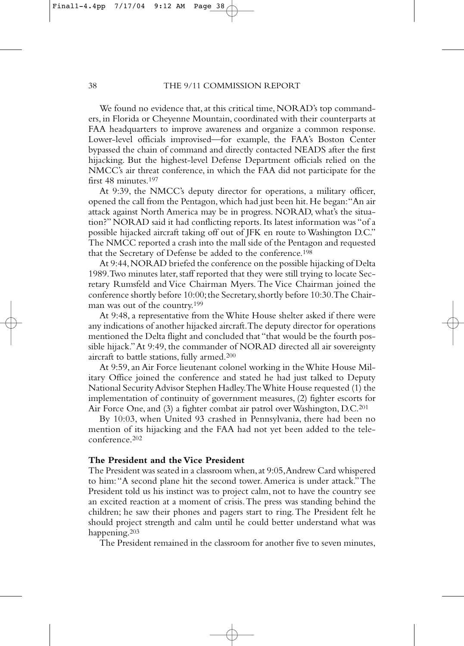We found no evidence that, at this critical time, NORAD's top commanders, in Florida or Cheyenne Mountain, coordinated with their counterparts at FAA headquarters to improve awareness and organize a common response. Lower-level officials improvised—for example, the FAA's Boston Center bypassed the chain of command and directly contacted NEADS after the first hijacking. But the highest-level Defense Department officials relied on the NMCC's air threat conference, in which the FAA did not participate for the first 48 minutes.197

At 9:39, the NMCC's deputy director for operations, a military officer, opened the call from the Pentagon,which had just been hit.He began:"An air attack against North America may be in progress. NORAD, what's the situation?" NORAD said it had conflicting reports. Its latest information was "of a possible hijacked aircraft taking off out of JFK en route to Washington D.C." The NMCC reported a crash into the mall side of the Pentagon and requested that the Secretary of Defense be added to the conference.198

At 9:44,NORAD briefed the conference on the possible hijacking of Delta 1989.Two minutes later, staff reported that they were still trying to locate Secretary Rumsfeld and Vice Chairman Myers. The Vice Chairman joined the conference shortly before 10:00; the Secretary, shortly before 10:30. The Chairman was out of the country.199

At 9:48, a representative from the White House shelter asked if there were any indications of another hijacked aircraft.The deputy director for operations mentioned the Delta flight and concluded that "that would be the fourth possible hijack."At 9:49, the commander of NORAD directed all air sovereignty aircraft to battle stations, fully armed.200

At 9:59, an Air Force lieutenant colonel working in the White House Military Office joined the conference and stated he had just talked to Deputy National Security Advisor Stephen Hadley.The White House requested (1) the implementation of continuity of government measures, (2) fighter escorts for Air Force One, and (3) a fighter combat air patrol over Washington, D.C.201

By 10:03, when United 93 crashed in Pennsylvania, there had been no mention of its hijacking and the FAA had not yet been added to the teleconference.202

#### **The President and the Vice President**

The President was seated in a classroom when,at 9:05,Andrew Card whispered to him:"A second plane hit the second tower. America is under attack."The President told us his instinct was to project calm, not to have the country see an excited reaction at a moment of crisis.The press was standing behind the children; he saw their phones and pagers start to ring.The President felt he should project strength and calm until he could better understand what was happening.203

The President remained in the classroom for another five to seven minutes,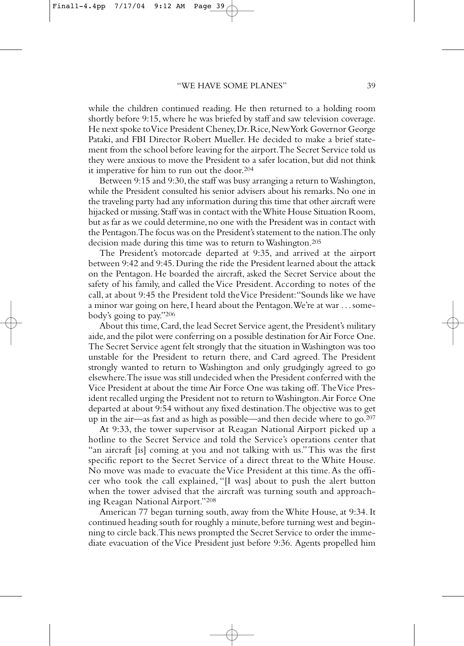while the children continued reading. He then returned to a holding room shortly before 9:15, where he was briefed by staff and saw television coverage. He next spoke to Vice President Cheney, Dr. Rice, New York Governor George Pataki, and FBI Director Robert Mueller. He decided to make a brief statement from the school before leaving for the airport.The Secret Service told us they were anxious to move the President to a safer location, but did not think it imperative for him to run out the door.204

Between 9:15 and 9:30, the staff was busy arranging a return to Washington, while the President consulted his senior advisers about his remarks. No one in the traveling party had any information during this time that other aircraft were hijacked or missing.Staff was in contact with the White House Situation Room, but as far as we could determine,no one with the President was in contact with the Pentagon.The focus was on the President's statement to the nation.The only decision made during this time was to return to Washington.205

The President's motorcade departed at 9:35, and arrived at the airport between 9:42 and 9:45.During the ride the President learned about the attack on the Pentagon. He boarded the aircraft, asked the Secret Service about the safety of his family, and called the Vice President. According to notes of the call, at about 9:45 the President told the Vice President:"Sounds like we have a minor war going on here, I heard about the Pentagon.We're at war . . . somebody's going to pay."206

About this time, Card, the lead Secret Service agent, the President's military aide,and the pilot were conferring on a possible destination for Air Force One. The Secret Service agent felt strongly that the situation in Washington was too unstable for the President to return there, and Card agreed. The President strongly wanted to return to Washington and only grudgingly agreed to go elsewhere.The issue was still undecided when the President conferred with the Vice President at about the time Air Force One was taking off. The Vice President recalled urging the President not to return to Washington.Air Force One departed at about 9:54 without any fixed destination.The objective was to get up in the air—as fast and as high as possible—and then decide where to go.207

At 9:33, the tower supervisor at Reagan National Airport picked up a hotline to the Secret Service and told the Service's operations center that "an aircraft [is] coming at you and not talking with us."This was the first specific report to the Secret Service of a direct threat to the White House. No move was made to evacuate the Vice President at this time.As the officer who took the call explained, "[I was] about to push the alert button when the tower advised that the aircraft was turning south and approaching Reagan National Airport."208

American 77 began turning south, away from the White House, at 9:34. It continued heading south for roughly a minute, before turning west and beginning to circle back.This news prompted the Secret Service to order the immediate evacuation of the Vice President just before 9:36. Agents propelled him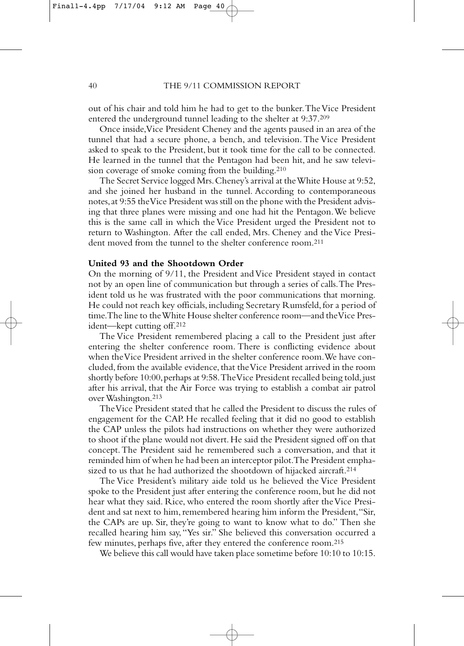out of his chair and told him he had to get to the bunker.The Vice President entered the underground tunnel leading to the shelter at 9:37.209

Once inside,Vice President Cheney and the agents paused in an area of the tunnel that had a secure phone, a bench, and television. The Vice President asked to speak to the President, but it took time for the call to be connected. He learned in the tunnel that the Pentagon had been hit, and he saw television coverage of smoke coming from the building.<sup>210</sup>

The Secret Service logged Mrs.Cheney's arrival at the White House at 9:52, and she joined her husband in the tunnel. According to contemporaneous notes,at 9:55 the Vice President was still on the phone with the President advising that three planes were missing and one had hit the Pentagon.We believe this is the same call in which the Vice President urged the President not to return to Washington. After the call ended, Mrs. Cheney and the Vice President moved from the tunnel to the shelter conference room.211

#### **United 93 and the Shootdown Order**

On the morning of 9/11, the President and Vice President stayed in contact not by an open line of communication but through a series of calls.The President told us he was frustrated with the poor communications that morning. He could not reach key officials, including Secretary Rumsfeld, for a period of time.The line to the White House shelter conference room—and the Vice President—kept cutting off.212

The Vice President remembered placing a call to the President just after entering the shelter conference room. There is conflicting evidence about when the Vice President arrived in the shelter conference room.We have concluded, from the available evidence, that the Vice President arrived in the room shortly before 10:00, perhaps at 9:58. The Vice President recalled being told, just after his arrival, that the Air Force was trying to establish a combat air patrol over Washington.213

The Vice President stated that he called the President to discuss the rules of engagement for the CAP. He recalled feeling that it did no good to establish the CAP unless the pilots had instructions on whether they were authorized to shoot if the plane would not divert. He said the President signed off on that concept.The President said he remembered such a conversation, and that it reminded him of when he had been an interceptor pilot.The President emphasized to us that he had authorized the shootdown of hijacked aircraft.<sup>214</sup>

The Vice President's military aide told us he believed the Vice President spoke to the President just after entering the conference room, but he did not hear what they said. Rice, who entered the room shortly after the Vice President and sat next to him, remembered hearing him inform the President,"Sir, the CAPs are up. Sir, they're going to want to know what to do." Then she recalled hearing him say, "Yes sir." She believed this conversation occurred a few minutes, perhaps five, after they entered the conference room.215

We believe this call would have taken place sometime before  $10:10$  to  $10:15$ .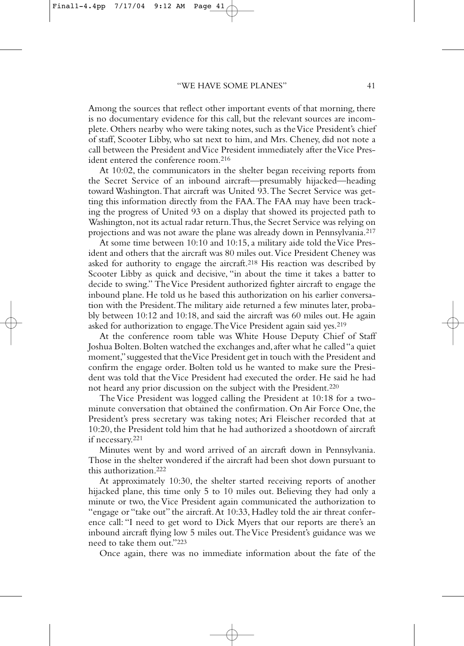Among the sources that reflect other important events of that morning, there is no documentary evidence for this call, but the relevant sources are incomplete. Others nearby who were taking notes, such as the Vice President's chief of staff, Scooter Libby, who sat next to him, and Mrs. Cheney, did not note a call between the President and Vice President immediately after the Vice President entered the conference room.216

At 10:02, the communicators in the shelter began receiving reports from the Secret Service of an inbound aircraft—presumably hijacked—heading toward Washington.That aircraft was United 93.The Secret Service was getting this information directly from the FAA.The FAA may have been tracking the progress of United 93 on a display that showed its projected path to Washington, not its actual radar return. Thus, the Secret Service was relying on projections and was not aware the plane was already down in Pennsylvania.217

At some time between 10:10 and 10:15, a military aide told the Vice President and others that the aircraft was 80 miles out.Vice President Cheney was asked for authority to engage the aircraft.<sup>218</sup> His reaction was described by Scooter Libby as quick and decisive, "in about the time it takes a batter to decide to swing." The Vice President authorized fighter aircraft to engage the inbound plane. He told us he based this authorization on his earlier conversation with the President.The military aide returned a few minutes later, probably between 10:12 and 10:18, and said the aircraft was 60 miles out. He again asked for authorization to engage.The Vice President again said yes.219

At the conference room table was White House Deputy Chief of Staff Joshua Bolten. Bolten watched the exchanges and, after what he called "a quiet moment,"suggested that the Vice President get in touch with the President and confirm the engage order. Bolten told us he wanted to make sure the President was told that the Vice President had executed the order. He said he had not heard any prior discussion on the subject with the President.220

The Vice President was logged calling the President at 10:18 for a twominute conversation that obtained the confirmation. On Air Force One, the President's press secretary was taking notes; Ari Fleischer recorded that at 10:20, the President told him that he had authorized a shootdown of aircraft if necessary.221

Minutes went by and word arrived of an aircraft down in Pennsylvania. Those in the shelter wondered if the aircraft had been shot down pursuant to this authorization.222

At approximately 10:30, the shelter started receiving reports of another hijacked plane, this time only 5 to 10 miles out. Believing they had only a minute or two, the Vice President again communicated the authorization to "engage or "take out" the aircraft.At 10:33, Hadley told the air threat conference call: "I need to get word to Dick Myers that our reports are there's an inbound aircraft flying low 5 miles out.The Vice President's guidance was we need to take them out."223

Once again, there was no immediate information about the fate of the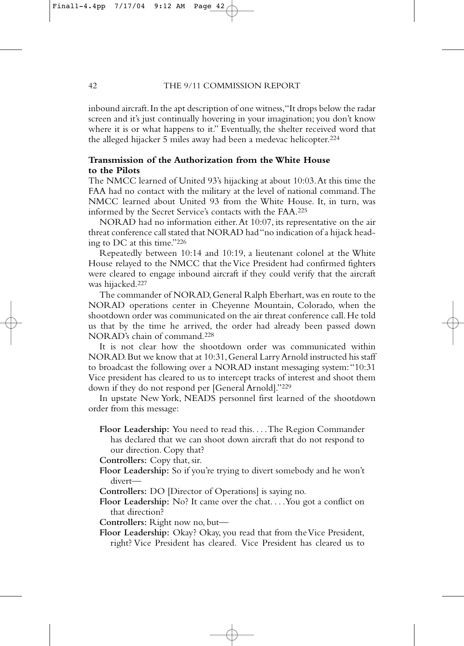inbound aircraft.In the apt description of one witness,"It drops below the radar screen and it's just continually hovering in your imagination; you don't know where it is or what happens to it." Eventually, the shelter received word that the alleged hijacker 5 miles away had been a medevac helicopter.224

## **Transmission of the Authorization from the White House to the Pilots**

The NMCC learned of United 93's hijacking at about 10:03.At this time the FAA had no contact with the military at the level of national command.The NMCC learned about United 93 from the White House. It, in turn, was informed by the Secret Service's contacts with the FAA.225

NORAD had no information either.At 10:07, its representative on the air threat conference call stated that NORAD had "no indication of a hijack heading to DC at this time."226

Repeatedly between 10:14 and 10:19, a lieutenant colonel at the White House relayed to the NMCC that the Vice President had confirmed fighters were cleared to engage inbound aircraft if they could verify that the aircraft was hijacked.227

The commander of NORAD, General Ralph Eberhart, was en route to the NORAD operations center in Cheyenne Mountain, Colorado, when the shootdown order was communicated on the air threat conference call.He told us that by the time he arrived, the order had already been passed down NORAD's chain of command.228

It is not clear how the shootdown order was communicated within NORAD.But we know that at 10:31,General Larry Arnold instructed his staff to broadcast the following over a NORAD instant messaging system:"10:31 Vice president has cleared to us to intercept tracks of interest and shoot them down if they do not respond per [General Arnold]."229

In upstate New York, NEADS personnel first learned of the shootdown order from this message:

- **Floor Leadership:** You need to read this. . . .The Region Commander has declared that we can shoot down aircraft that do not respond to our direction. Copy that?
- **Controllers:** Copy that, sir.
- Floor Leadership: So if you're trying to divert somebody and he won't divert—
- **Controllers:** DO [Director of Operations] is saying no.
- Floor Leadership: No? It came over the chat....You got a conflict on that direction?

**Controllers:** Right now no, but—

**Floor Leadership:** Okay? Okay, you read that from the Vice President, right? Vice President has cleared. Vice President has cleared us to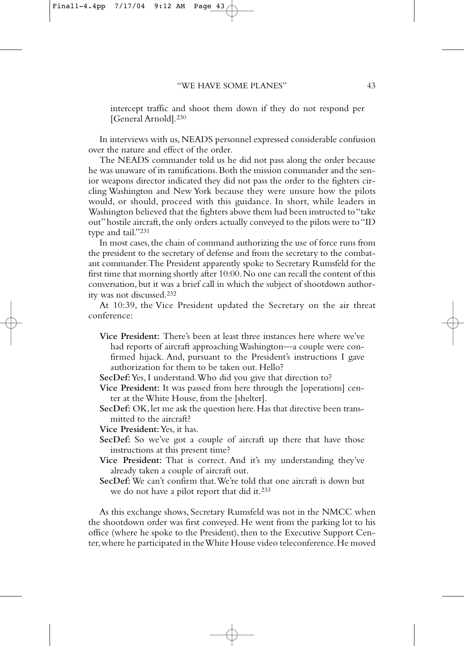intercept traffic and shoot them down if they do not respond per [General Arnold].230

In interviews with us, NEADS personnel expressed considerable confusion over the nature and effect of the order.

The NEADS commander told us he did not pass along the order because he was unaware of its ramifications. Both the mission commander and the senior weapons director indicated they did not pass the order to the fighters circling Washington and New York because they were unsure how the pilots would, or should, proceed with this guidance. In short, while leaders in Washington believed that the fighters above them had been instructed to "take out" hostile aircraft, the only orders actually conveyed to the pilots were to "ID type and tail."231

In most cases, the chain of command authorizing the use of force runs from the president to the secretary of defense and from the secretary to the combatant commander.The President apparently spoke to Secretary Rumsfeld for the first time that morning shortly after 10:00.No one can recall the content of this conversation, but it was a brief call in which the subject of shootdown authority was not discussed.232

At 10:39, the Vice President updated the Secretary on the air threat conference:

- **Vice President:** There's been at least three instances here where we've had reports of aircraft approaching Washington—a couple were confirmed hijack. And, pursuant to the President's instructions I gave authorization for them to be taken out. Hello?
- **SecDef:**Yes, I understand.Who did you give that direction to?
- **Vice President:** It was passed from here through the [operations] center at the White House, from the [shelter].
- SecDef: OK, let me ask the question here. Has that directive been transmitted to the aircraft?

**Vice President:**Yes, it has.

- **SecDef:** So we've got a couple of aircraft up there that have those instructions at this present time?
- **Vice President:** That is correct. And it's my understanding they've already taken a couple of aircraft out.
- **SecDef:** We can't confirm that.We're told that one aircraft is down but we do not have a pilot report that did it.233

As this exchange shows, Secretary Rumsfeld was not in the NMCC when the shootdown order was first conveyed. He went from the parking lot to his office (where he spoke to the President), then to the Executive Support Center, where he participated in the White House video teleconference. He moved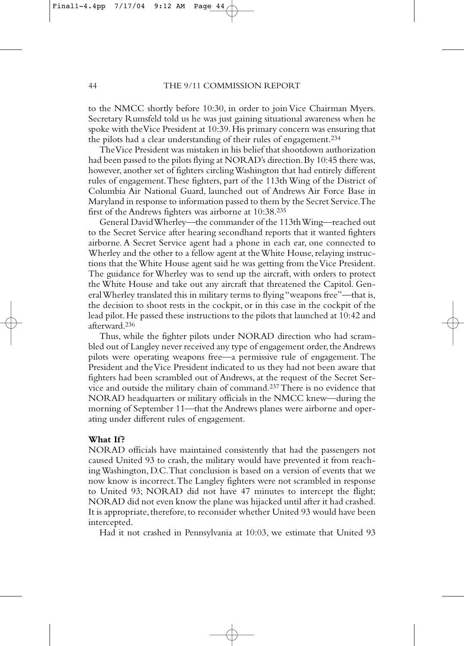to the NMCC shortly before 10:30, in order to join Vice Chairman Myers. Secretary Rumsfeld told us he was just gaining situational awareness when he spoke with the Vice President at 10:39.His primary concern was ensuring that the pilots had a clear understanding of their rules of engagement.234

The Vice President was mistaken in his belief that shootdown authorization had been passed to the pilots flying at NORAD's direction.By 10:45 there was, however, another set of fighters circling Washington that had entirely different rules of engagement.These fighters, part of the 113th Wing of the District of Columbia Air National Guard, launched out of Andrews Air Force Base in Maryland in response to information passed to them by the Secret Service.The first of the Andrews fighters was airborne at 10:38.235

General David Wherley—the commander of the 113th Wing—reached out to the Secret Service after hearing secondhand reports that it wanted fighters airborne. A Secret Service agent had a phone in each ear, one connected to Wherley and the other to a fellow agent at the White House, relaying instructions that the White House agent said he was getting from the Vice President. The guidance for Wherley was to send up the aircraft, with orders to protect the White House and take out any aircraft that threatened the Capitol. General Wherley translated this in military terms to flying "weapons free"—that is, the decision to shoot rests in the cockpit, or in this case in the cockpit of the lead pilot.He passed these instructions to the pilots that launched at 10:42 and afterward.236

Thus, while the fighter pilots under NORAD direction who had scrambled out of Langley never received any type of engagement order, the Andrews pilots were operating weapons free—a permissive rule of engagement. The President and the Vice President indicated to us they had not been aware that fighters had been scrambled out of Andrews, at the request of the Secret Service and outside the military chain of command.237There is no evidence that NORAD headquarters or military officials in the NMCC knew—during the morning of September 11—that the Andrews planes were airborne and operating under different rules of engagement.

#### **What If?**

NORAD officials have maintained consistently that had the passengers not caused United 93 to crash, the military would have prevented it from reaching Washington, D.C.That conclusion is based on a version of events that we now know is incorrect.The Langley fighters were not scrambled in response to United 93; NORAD did not have 47 minutes to intercept the flight; NORAD did not even know the plane was hijacked until after it had crashed. It is appropriate, therefore, to reconsider whether United 93 would have been intercepted.

Had it not crashed in Pennsylvania at 10:03, we estimate that United 93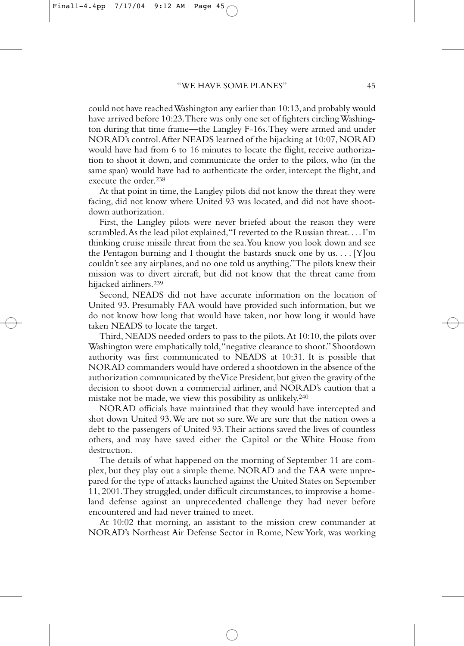could not have reached Washington any earlier than 10:13,and probably would have arrived before 10:23.There was only one set of fighters circling Washington during that time frame—the Langley F-16s.They were armed and under NORAD's control. After NEADS learned of the hijacking at 10:07, NORAD would have had from 6 to 16 minutes to locate the flight, receive authorization to shoot it down, and communicate the order to the pilots, who (in the same span) would have had to authenticate the order, intercept the flight, and execute the order.238

At that point in time, the Langley pilots did not know the threat they were facing, did not know where United 93 was located, and did not have shootdown authorization.

First, the Langley pilots were never briefed about the reason they were scrambled.As the lead pilot explained,"I reverted to the Russian threat. ...I'm thinking cruise missile threat from the sea.You know you look down and see the Pentagon burning and I thought the bastards snuck one by us. . . . [Y]ou couldn't see any airplanes, and no one told us anything."The pilots knew their mission was to divert aircraft, but did not know that the threat came from hijacked airliners.239

Second, NEADS did not have accurate information on the location of United 93. Presumably FAA would have provided such information, but we do not know how long that would have taken, nor how long it would have taken NEADS to locate the target.

Third, NEADS needed orders to pass to the pilots.At 10:10, the pilots over Washington were emphatically told, "negative clearance to shoot." Shootdown authority was first communicated to NEADS at 10:31. It is possible that NORAD commanders would have ordered a shootdown in the absence of the authorization communicated by the Vice President,but given the gravity of the decision to shoot down a commercial airliner, and NORAD's caution that a mistake not be made, we view this possibility as unlikely.240

NORAD officials have maintained that they would have intercepted and shot down United 93.We are not so sure.We are sure that the nation owes a debt to the passengers of United 93.Their actions saved the lives of countless others, and may have saved either the Capitol or the White House from destruction.

The details of what happened on the morning of September 11 are complex, but they play out a simple theme. NORAD and the FAA were unprepared for the type of attacks launched against the United States on September 11, 2001.They struggled, under difficult circumstances, to improvise a homeland defense against an unprecedented challenge they had never before encountered and had never trained to meet.

At 10:02 that morning, an assistant to the mission crew commander at NORAD's Northeast Air Defense Sector in Rome, New York, was working